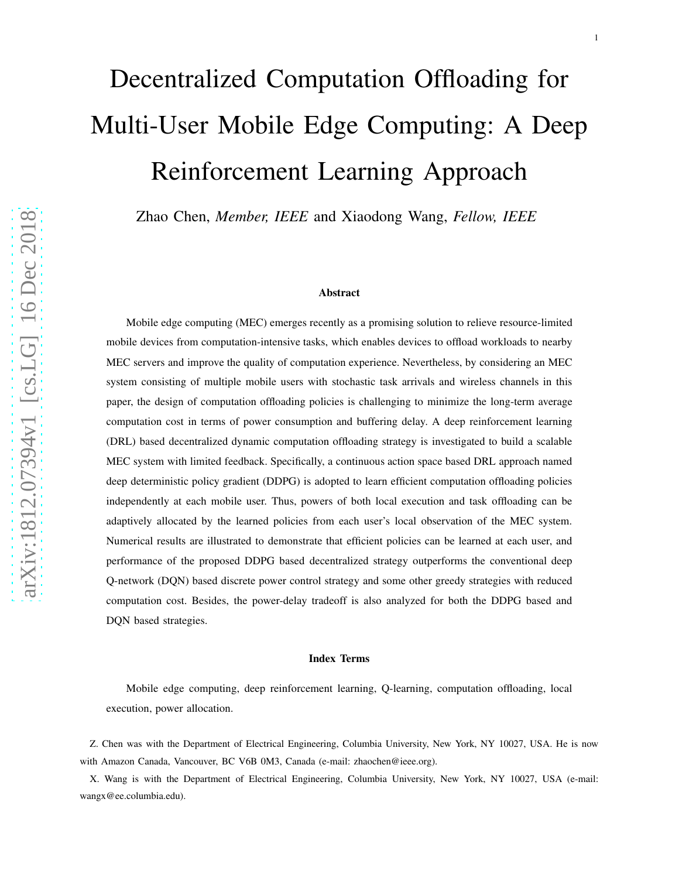# Decentralized Computation Offloading for Multi-User Mobile Edge Computing: A Deep Reinforcement Learning Approach

Zhao Chen, *Member, IEEE* and Xiaodong Wang, *Fellow, IEEE*

#### Abstract

Mobile edge computing (MEC) emerges recently as a promising solution to relieve resource-limited mobile devices from computation-intensive tasks, which enables devices to offload workloads to nearby MEC servers and improve the quality of computation experience. Nevertheless, by considering an MEC system consisting of multiple mobile users with stochastic task arrivals and wireless channels in this paper, the design of computation offloading policies is challenging to minimize the long-term average computation cost in terms of power consumption and buffering delay. A deep reinforcement learning (DRL) based decentralized dynamic computation offloading strategy is investigated to build a scalable MEC system with limited feedback. Specifically, a continuous action space based DRL approach named deep deterministic policy gradient (DDPG) is adopted to learn efficient computation offloading policies independently at each mobile user. Thus, powers of both local execution and task offloading can be adaptively allocated by the learned policies from each user's local observation of the MEC system. Numerical results are illustrated to demonstrate that efficient policies can be learned at each user, and performance of the proposed DDPG based decentralized strategy outperforms the conventional deep Q-network (DQN) based discrete power control strategy and some other greedy strategies with reduced computation cost. Besides, the power-delay tradeoff is also analyzed for both the DDPG based and DQN based strategies.

#### Index Terms

Mobile edge computing, deep reinforcement learning, Q-learning, computation offloading, local execution, power allocation.

Z. Chen was with the Department of Electrical Engineering, Columbia University, New York, NY 10027, USA. He is now with Amazon Canada, Vancouver, BC V6B 0M3, Canada (e-mail: zhaochen@ieee.org).

X. Wang is with the Department of Electrical Engineering, Columbia University, New York, NY 10027, USA (e-mail: wangx@ee.columbia.edu).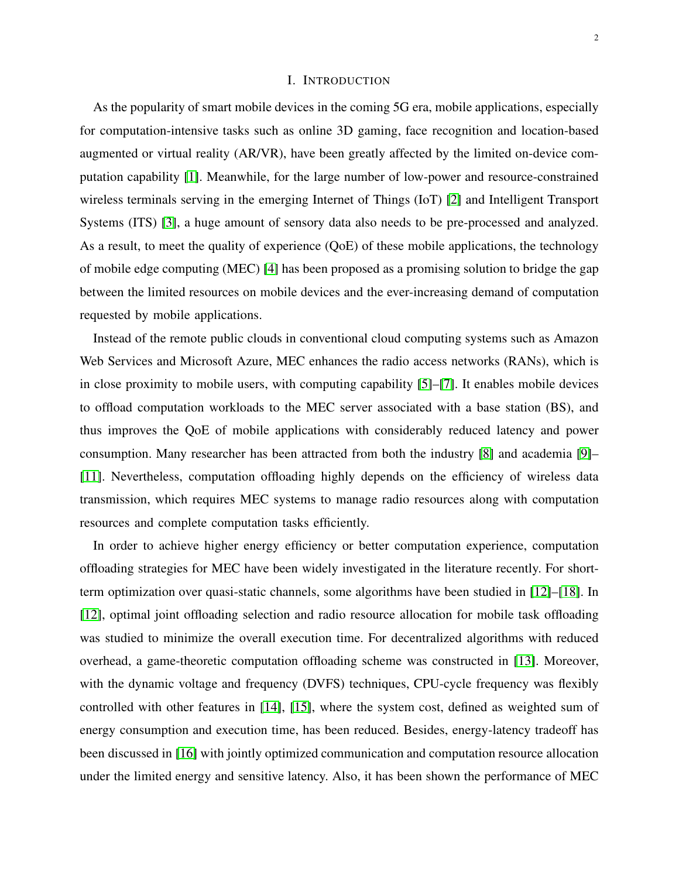## I. INTRODUCTION

As the popularity of smart mobile devices in the coming 5G era, mobile applications, especially for computation-intensive tasks such as online 3D gaming, face recognition and location-based augmented or virtual reality (AR/VR), have been greatly affected by the limited on-device computation capability [\[1\]](#page-24-0). Meanwhile, for the large number of low-power and resource-constrained wireless terminals serving in the emerging Internet of Things (IoT) [\[2\]](#page-24-1) and Intelligent Transport Systems (ITS) [\[3\]](#page-24-2), a huge amount of sensory data also needs to be pre-processed and analyzed. As a result, to meet the quality of experience (QoE) of these mobile applications, the technology of mobile edge computing (MEC) [\[4\]](#page-24-3) has been proposed as a promising solution to bridge the gap between the limited resources on mobile devices and the ever-increasing demand of computation requested by mobile applications.

Instead of the remote public clouds in conventional cloud computing systems such as Amazon Web Services and Microsoft Azure, MEC enhances the radio access networks (RANs), which is in close proximity to mobile users, with computing capability [\[5\]](#page-24-4)–[\[7\]](#page-24-5). It enables mobile devices to offload computation workloads to the MEC server associated with a base station (BS), and thus improves the QoE of mobile applications with considerably reduced latency and power consumption. Many researcher has been attracted from both the industry [\[8\]](#page-24-6) and academia [\[9\]](#page-24-7)– [\[11\]](#page-24-8). Nevertheless, computation offloading highly depends on the efficiency of wireless data transmission, which requires MEC systems to manage radio resources along with computation resources and complete computation tasks efficiently.

In order to achieve higher energy efficiency or better computation experience, computation offloading strategies for MEC have been widely investigated in the literature recently. For shortterm optimization over quasi-static channels, some algorithms have been studied in [\[12\]](#page-24-9)–[\[18\]](#page-24-10). In [\[12\]](#page-24-9), optimal joint offloading selection and radio resource allocation for mobile task offloading was studied to minimize the overall execution time. For decentralized algorithms with reduced overhead, a game-theoretic computation offloading scheme was constructed in [\[13\]](#page-24-11). Moreover, with the dynamic voltage and frequency (DVFS) techniques, CPU-cycle frequency was flexibly controlled with other features in [\[14\]](#page-24-12), [\[15\]](#page-24-13), where the system cost, defined as weighted sum of energy consumption and execution time, has been reduced. Besides, energy-latency tradeoff has been discussed in [\[16\]](#page-24-14) with jointly optimized communication and computation resource allocation under the limited energy and sensitive latency. Also, it has been shown the performance of MEC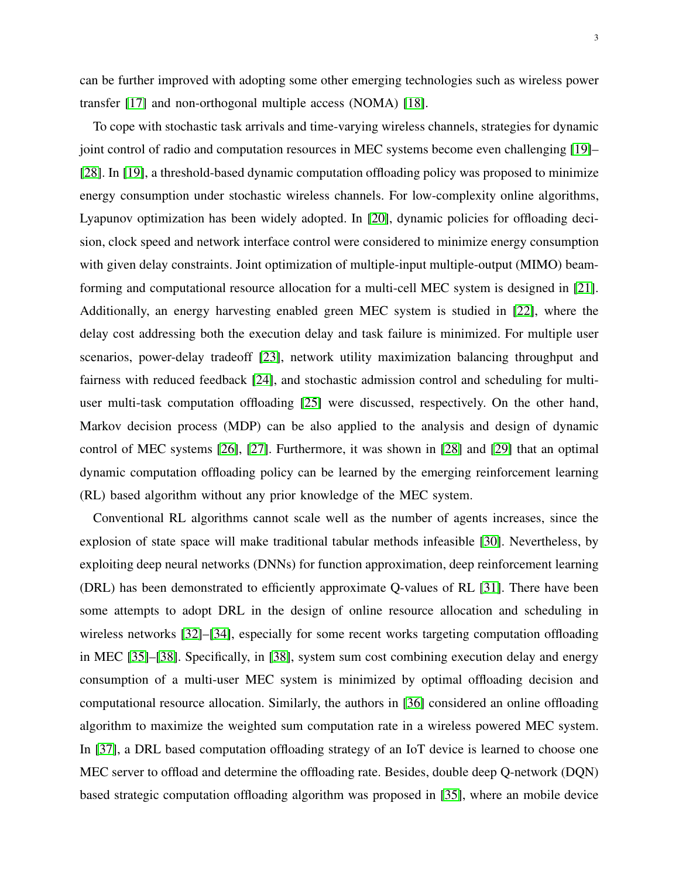can be further improved with adopting some other emerging technologies such as wireless power transfer [\[17\]](#page-24-15) and non-orthogonal multiple access (NOMA) [\[18\]](#page-24-10).

To cope with stochastic task arrivals and time-varying wireless channels, strategies for dynamic joint control of radio and computation resources in MEC systems become even challenging [\[19\]](#page-24-16)– [\[28\]](#page-25-0). In [\[19\]](#page-24-16), a threshold-based dynamic computation offloading policy was proposed to minimize energy consumption under stochastic wireless channels. For low-complexity online algorithms, Lyapunov optimization has been widely adopted. In [\[20\]](#page-24-17), dynamic policies for offloading decision, clock speed and network interface control were considered to minimize energy consumption with given delay constraints. Joint optimization of multiple-input multiple-output (MIMO) beamforming and computational resource allocation for a multi-cell MEC system is designed in [\[21\]](#page-25-1). Additionally, an energy harvesting enabled green MEC system is studied in [\[22\]](#page-25-2), where the delay cost addressing both the execution delay and task failure is minimized. For multiple user scenarios, power-delay tradeoff [\[23\]](#page-25-3), network utility maximization balancing throughput and fairness with reduced feedback [\[24\]](#page-25-4), and stochastic admission control and scheduling for multiuser multi-task computation offloading [\[25\]](#page-25-5) were discussed, respectively. On the other hand, Markov decision process (MDP) can be also applied to the analysis and design of dynamic control of MEC systems [\[26\]](#page-25-6), [\[27\]](#page-25-7). Furthermore, it was shown in [\[28\]](#page-25-0) and [\[29\]](#page-25-8) that an optimal dynamic computation offloading policy can be learned by the emerging reinforcement learning (RL) based algorithm without any prior knowledge of the MEC system.

Conventional RL algorithms cannot scale well as the number of agents increases, since the explosion of state space will make traditional tabular methods infeasible [\[30\]](#page-25-9). Nevertheless, by exploiting deep neural networks (DNNs) for function approximation, deep reinforcement learning (DRL) has been demonstrated to efficiently approximate Q-values of RL [\[31\]](#page-25-10). There have been some attempts to adopt DRL in the design of online resource allocation and scheduling in wireless networks [\[32\]](#page-25-11)–[\[34\]](#page-25-12), especially for some recent works targeting computation offloading in MEC [\[35\]](#page-25-13)–[\[38\]](#page-25-14). Specifically, in [\[38\]](#page-25-14), system sum cost combining execution delay and energy consumption of a multi-user MEC system is minimized by optimal offloading decision and computational resource allocation. Similarly, the authors in [\[36\]](#page-25-15) considered an online offloading algorithm to maximize the weighted sum computation rate in a wireless powered MEC system. In [\[37\]](#page-25-16), a DRL based computation offloading strategy of an IoT device is learned to choose one MEC server to offload and determine the offloading rate. Besides, double deep Q-network (DQN) based strategic computation offloading algorithm was proposed in [\[35\]](#page-25-13), where an mobile device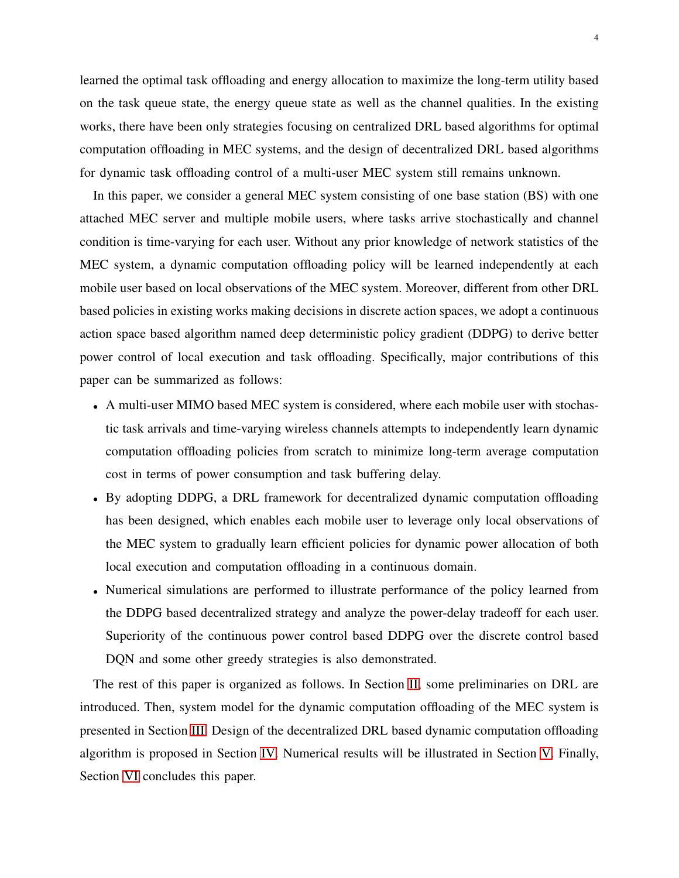learned the optimal task offloading and energy allocation to maximize the long-term utility based on the task queue state, the energy queue state as well as the channel qualities. In the existing works, there have been only strategies focusing on centralized DRL based algorithms for optimal computation offloading in MEC systems, and the design of decentralized DRL based algorithms for dynamic task offloading control of a multi-user MEC system still remains unknown.

In this paper, we consider a general MEC system consisting of one base station (BS) with one attached MEC server and multiple mobile users, where tasks arrive stochastically and channel condition is time-varying for each user. Without any prior knowledge of network statistics of the MEC system, a dynamic computation offloading policy will be learned independently at each mobile user based on local observations of the MEC system. Moreover, different from other DRL based policies in existing works making decisions in discrete action spaces, we adopt a continuous action space based algorithm named deep deterministic policy gradient (DDPG) to derive better power control of local execution and task offloading. Specifically, major contributions of this paper can be summarized as follows:

- A multi-user MIMO based MEC system is considered, where each mobile user with stochastic task arrivals and time-varying wireless channels attempts to independently learn dynamic computation offloading policies from scratch to minimize long-term average computation cost in terms of power consumption and task buffering delay.
- By adopting DDPG, a DRL framework for decentralized dynamic computation offloading has been designed, which enables each mobile user to leverage only local observations of the MEC system to gradually learn efficient policies for dynamic power allocation of both local execution and computation offloading in a continuous domain.
- Numerical simulations are performed to illustrate performance of the policy learned from the DDPG based decentralized strategy and analyze the power-delay tradeoff for each user. Superiority of the continuous power control based DDPG over the discrete control based DQN and some other greedy strategies is also demonstrated.

The rest of this paper is organized as follows. In Section [II,](#page-4-0) some preliminaries on DRL are introduced. Then, system model for the dynamic computation offloading of the MEC system is presented in Section [III.](#page-8-0) Design of the decentralized DRL based dynamic computation offloading algorithm is proposed in Section [IV.](#page-12-0) Numerical results will be illustrated in Section [V.](#page-15-0) Finally, Section [VI](#page-23-0) concludes this paper.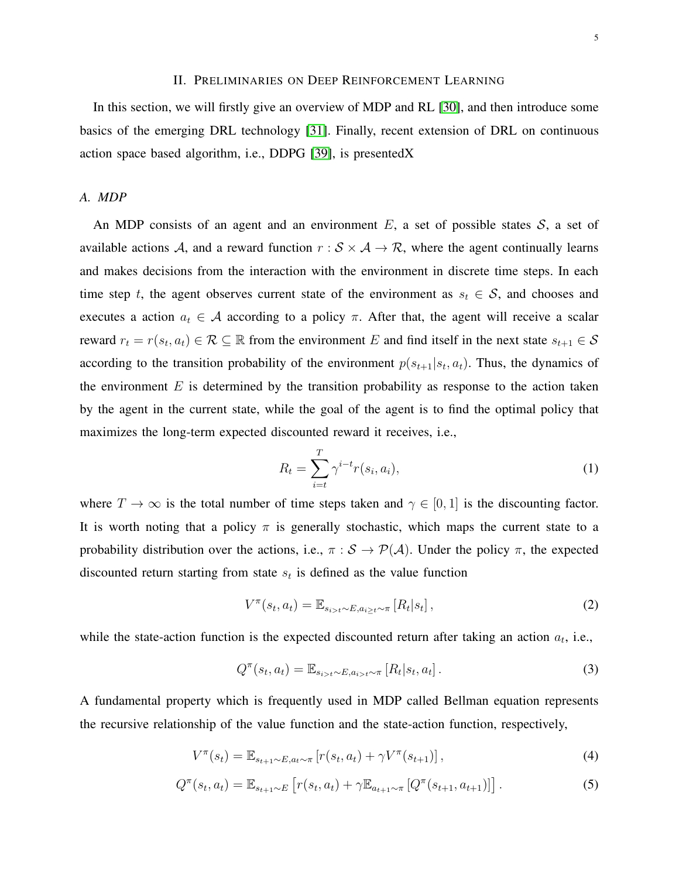## II. PRELIMINARIES ON DEEP REINFORCEMENT LEARNING

<span id="page-4-0"></span>In this section, we will firstly give an overview of MDP and RL [\[30\]](#page-25-9), and then introduce some basics of the emerging DRL technology [\[31\]](#page-25-10). Finally, recent extension of DRL on continuous action space based algorithm, i.e., DDPG [\[39\]](#page-25-17), is presentedX

## *A. MDP*

An MDP consists of an agent and an environment  $E$ , a set of possible states  $S$ , a set of available actions A, and a reward function  $r : S \times A \rightarrow \mathcal{R}$ , where the agent continually learns and makes decisions from the interaction with the environment in discrete time steps. In each time step t, the agent observes current state of the environment as  $s_t \in S$ , and chooses and executes a action  $a_t \in \mathcal{A}$  according to a policy  $\pi$ . After that, the agent will receive a scalar reward  $r_t = r(s_t, a_t) \in \mathcal{R} \subseteq \mathbb{R}$  from the environment E and find itself in the next state  $s_{t+1} \in \mathcal{S}$ according to the transition probability of the environment  $p(s_{t+1}|s_t, a_t)$ . Thus, the dynamics of the environment  $E$  is determined by the transition probability as response to the action taken by the agent in the current state, while the goal of the agent is to find the optimal policy that maximizes the long-term expected discounted reward it receives, i.e.,

$$
R_t = \sum_{i=t}^{T} \gamma^{i-t} r(s_i, a_i), \qquad (1)
$$

where  $T \to \infty$  is the total number of time steps taken and  $\gamma \in [0, 1]$  is the discounting factor. It is worth noting that a policy  $\pi$  is generally stochastic, which maps the current state to a probability distribution over the actions, i.e.,  $\pi : S \to P(A)$ . Under the policy  $\pi$ , the expected discounted return starting from state  $s_t$  is defined as the value function

$$
V^{\pi}(s_t, a_t) = \mathbb{E}_{s_{i>t} \sim E, a_{i\geq t} \sim \pi} \left[ R_t | s_t \right],
$$
\n(2)

while the state-action function is the expected discounted return after taking an action  $a_t$ , i.e.,

$$
Q^{\pi}(s_t, a_t) = \mathbb{E}_{s_{i>t} \sim E, a_{i>t} \sim \pi} [R_t | s_t, a_t].
$$
\n(3)

A fundamental property which is frequently used in MDP called Bellman equation represents the recursive relationship of the value function and the state-action function, respectively,

$$
V^{\pi}(s_t) = \mathbb{E}_{s_{t+1} \sim E, a_t \sim \pi} \left[ r(s_t, a_t) + \gamma V^{\pi}(s_{t+1}) \right],
$$
\n(4)

$$
Q^{\pi}(s_t, a_t) = \mathbb{E}_{s_{t+1} \sim E} \left[ r(s_t, a_t) + \gamma \mathbb{E}_{a_{t+1} \sim \pi} \left[ Q^{\pi}(s_{t+1}, a_{t+1}) \right] \right]. \tag{5}
$$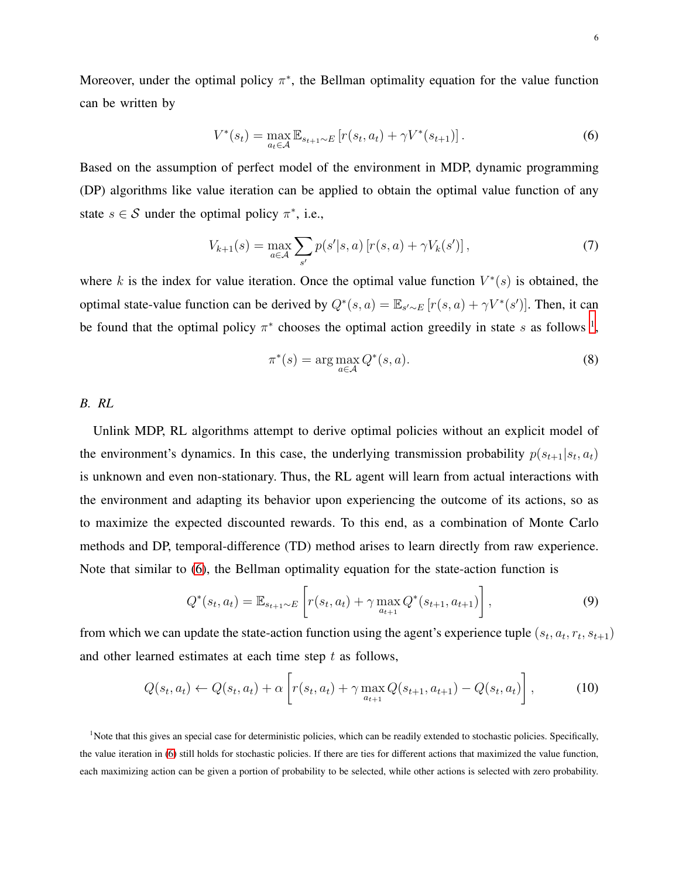Moreover, under the optimal policy  $\pi^*$ , the Bellman optimality equation for the value function can be written by

<span id="page-5-1"></span>
$$
V^*(s_t) = \max_{a_t \in \mathcal{A}} \mathbb{E}_{s_{t+1} \sim E} \left[ r(s_t, a_t) + \gamma V^*(s_{t+1}) \right]. \tag{6}
$$

Based on the assumption of perfect model of the environment in MDP, dynamic programming (DP) algorithms like value iteration can be applied to obtain the optimal value function of any state  $s \in S$  under the optimal policy  $\pi^*$ , i.e.,

$$
V_{k+1}(s) = \max_{a \in \mathcal{A}} \sum_{s'} p(s'|s, a) \left[ r(s, a) + \gamma V_k(s') \right],\tag{7}
$$

where k is the index for value iteration. Once the optimal value function  $V^*(s)$  is obtained, the optimal state-value function can be derived by  $Q^*(s, a) = \mathbb{E}_{s' \sim E} [r(s, a) + \gamma V^*(s')]$ . Then, it can be found that the optimal policy  $\pi^*$  chooses the optimal action greedily in state s as follows <sup>[1](#page-5-0)</sup>,

<span id="page-5-3"></span>
$$
\pi^*(s) = \arg\max_{a \in \mathcal{A}} Q^*(s, a). \tag{8}
$$

# *B. RL*

Unlink MDP, RL algorithms attempt to derive optimal policies without an explicit model of the environment's dynamics. In this case, the underlying transmission probability  $p(s_{t+1}|s_t, a_t)$ is unknown and even non-stationary. Thus, the RL agent will learn from actual interactions with the environment and adapting its behavior upon experiencing the outcome of its actions, so as to maximize the expected discounted rewards. To this end, as a combination of Monte Carlo methods and DP, temporal-difference (TD) method arises to learn directly from raw experience. Note that similar to [\(6\)](#page-5-1), the Bellman optimality equation for the state-action function is

<span id="page-5-2"></span>
$$
Q^*(s_t, a_t) = \mathbb{E}_{s_{t+1} \sim E} \left[ r(s_t, a_t) + \gamma \max_{a_{t+1}} Q^*(s_{t+1}, a_{t+1}) \right],
$$
\n(9)

from which we can update the state-action function using the agent's experience tuple  $(s_t, a_t, r_t, s_{t+1})$ and other learned estimates at each time step  $t$  as follows,

$$
Q(s_t, a_t) \leftarrow Q(s_t, a_t) + \alpha \left[ r(s_t, a_t) + \gamma \max_{a_{t+1}} Q(s_{t+1}, a_{t+1}) - Q(s_t, a_t) \right],
$$
 (10)

<span id="page-5-0"></span><sup>1</sup>Note that this gives an special case for deterministic policies, which can be readily extended to stochastic policies. Specifically, the value iteration in [\(6\)](#page-5-1) still holds for stochastic policies. If there are ties for different actions that maximized the value function, each maximizing action can be given a portion of probability to be selected, while other actions is selected with zero probability.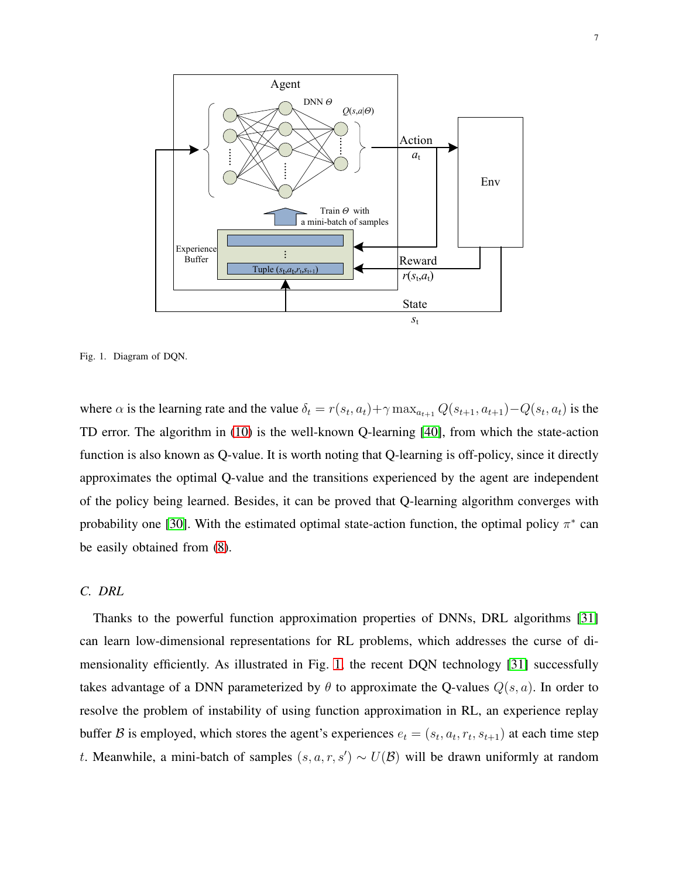

<span id="page-6-0"></span>

where  $\alpha$  is the learning rate and the value  $\delta_t = r(s_t, a_t) + \gamma \max_{a_{t+1}} Q(s_{t+1}, a_{t+1}) - Q(s_t, a_t)$  is the TD error. The algorithm in [\(10\)](#page-5-2) is the well-known Q-learning [\[40\]](#page-25-18), from which the state-action function is also known as Q-value. It is worth noting that Q-learning is off-policy, since it directly approximates the optimal Q-value and the transitions experienced by the agent are independent of the policy being learned. Besides, it can be proved that Q-learning algorithm converges with probability one [\[30\]](#page-25-9). With the estimated optimal state-action function, the optimal policy  $\pi^*$  can be easily obtained from [\(8\)](#page-5-3).

### *C. DRL*

Thanks to the powerful function approximation properties of DNNs, DRL algorithms [\[31\]](#page-25-10) can learn low-dimensional representations for RL problems, which addresses the curse of dimensionality efficiently. As illustrated in Fig. [1,](#page-6-0) the recent DQN technology [\[31\]](#page-25-10) successfully takes advantage of a DNN parameterized by  $\theta$  to approximate the Q-values  $Q(s, a)$ . In order to resolve the problem of instability of using function approximation in RL, an experience replay buffer B is employed, which stores the agent's experiences  $e_t = (s_t, a_t, r_t, s_{t+1})$  at each time step t. Meanwhile, a mini-batch of samples  $(s, a, r, s') \sim U(\mathcal{B})$  will be drawn uniformly at random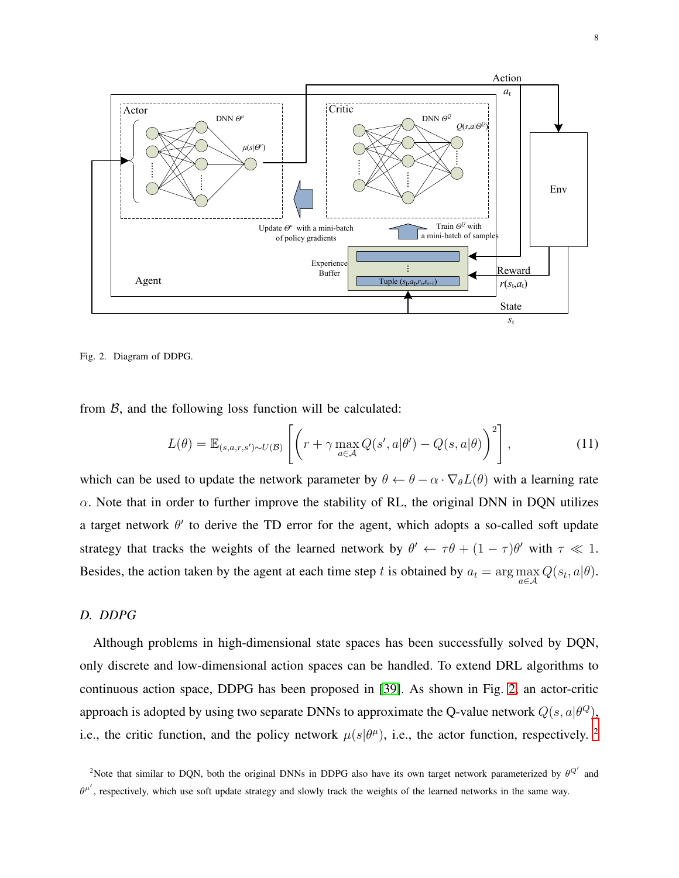

<span id="page-7-0"></span>

from  $\beta$ , and the following loss function will be calculated:

<span id="page-7-2"></span>
$$
L(\theta) = \mathbb{E}_{(s,a,r,s') \sim U(\mathcal{B})} \left[ \left( r + \gamma \max_{a \in \mathcal{A}} Q(s',a|\theta') - Q(s,a|\theta) \right)^2 \right],
$$
 (11)

which can be used to update the network parameter by  $\theta \leftarrow \theta - \alpha \cdot \nabla_{\theta} L(\theta)$  with a learning rate  $\alpha$ . Note that in order to further improve the stability of RL, the original DNN in DQN utilizes a target network  $\theta'$  to derive the TD error for the agent, which adopts a so-called soft update strategy that tracks the weights of the learned network by  $\theta' \leftarrow \tau \theta + (1 - \tau)\theta'$  with  $\tau \ll 1$ . Besides, the action taken by the agent at each time step t is obtained by  $a_t = \arg \max_{a \in \mathcal{A}} Q(s_t, a | \theta)$ .

# *D. DDPG*

Although problems in high-dimensional state spaces has been successfully solved by DQN, only discrete and low-dimensional action spaces can be handled. To extend DRL algorithms to continuous action space, DDPG has been proposed in [\[39\]](#page-25-17). As shown in Fig. [2,](#page-7-0) an actor-critic approach is adopted by using two separate DNNs to approximate the Q-value network  $Q(s, a|\theta^Q)$ , i.e., the critic function, and the policy network  $\mu(s|\theta^{\mu})$ , i.e., the actor function, respectively. <sup>[2](#page-7-1)</sup>

<span id="page-7-1"></span><sup>&</sup>lt;sup>2</sup>Note that similar to DQN, both the original DNNs in DDPG also have its own target network parameterized by  $\theta^{Q'}$  and  $\theta^{\mu'}$ , respectively, which use soft update strategy and slowly track the weights of the learned networks in the same way.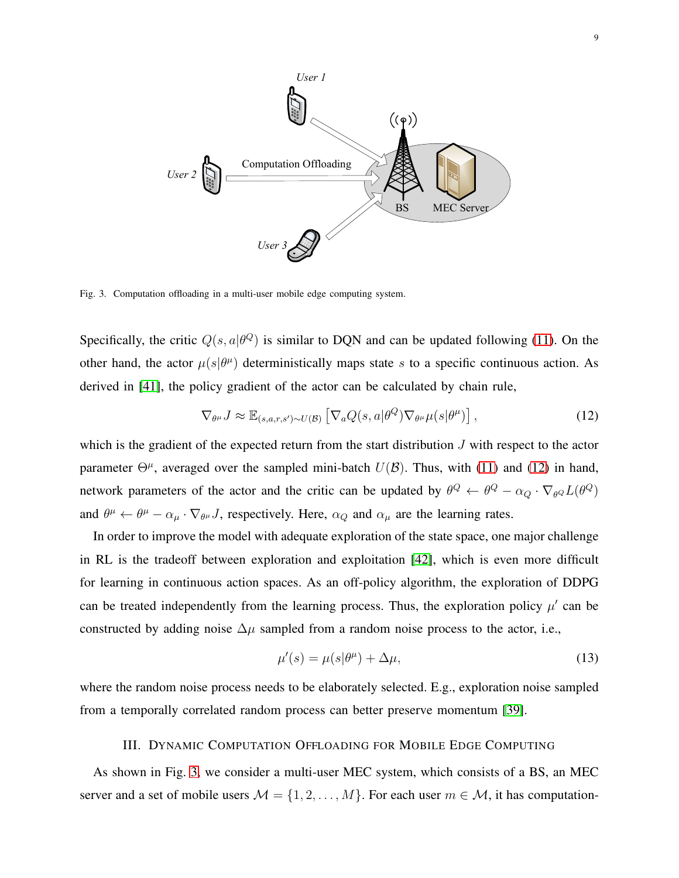

<span id="page-8-2"></span>Fig. 3. Computation offloading in a multi-user mobile edge computing system.

Specifically, the critic  $Q(s, a | \theta^Q)$  is similar to DQN and can be updated following [\(11\)](#page-7-2). On the other hand, the actor  $\mu(s|\theta^{\mu})$  deterministically maps state s to a specific continuous action. As derived in [\[41\]](#page-25-19), the policy gradient of the actor can be calculated by chain rule,

<span id="page-8-1"></span>
$$
\nabla_{\theta^{\mu}} J \approx \mathbb{E}_{(s,a,r,s') \sim U(\mathcal{B})} \left[ \nabla_a Q(s,a | \theta^Q) \nabla_{\theta^{\mu}} \mu(s | \theta^{\mu}) \right],
$$
\n(12)

which is the gradient of the expected return from the start distribution  $J$  with respect to the actor parameter  $\Theta^{\mu}$ , averaged over the sampled mini-batch  $U(\mathcal{B})$ . Thus, with [\(11\)](#page-7-2) and [\(12\)](#page-8-1) in hand, network parameters of the actor and the critic can be updated by  $\theta^Q \leftarrow \theta^Q - \alpha_Q \cdot \nabla_{\theta^Q} L(\theta^Q)$ and  $\theta^{\mu} \leftarrow \theta^{\mu} - \alpha_{\mu} \cdot \nabla_{\theta^{\mu}} J$ , respectively. Here,  $\alpha_Q$  and  $\alpha_{\mu}$  are the learning rates.

In order to improve the model with adequate exploration of the state space, one major challenge in RL is the tradeoff between exploration and exploitation [\[42\]](#page-25-20), which is even more difficult for learning in continuous action spaces. As an off-policy algorithm, the exploration of DDPG can be treated independently from the learning process. Thus, the exploration policy  $\mu'$  can be constructed by adding noise  $\Delta \mu$  sampled from a random noise process to the actor, i.e.,

$$
\mu'(s) = \mu(s|\theta^{\mu}) + \Delta\mu,\tag{13}
$$

<span id="page-8-0"></span>where the random noise process needs to be elaborately selected. E.g., exploration noise sampled from a temporally correlated random process can better preserve momentum [\[39\]](#page-25-17).

## III. DYNAMIC COMPUTATION OFFLOADING FOR MOBILE EDGE COMPUTING

As shown in Fig. [3,](#page-8-2) we consider a multi-user MEC system, which consists of a BS, an MEC server and a set of mobile users  $M = \{1, 2, ..., M\}$ . For each user  $m \in \mathcal{M}$ , it has computation-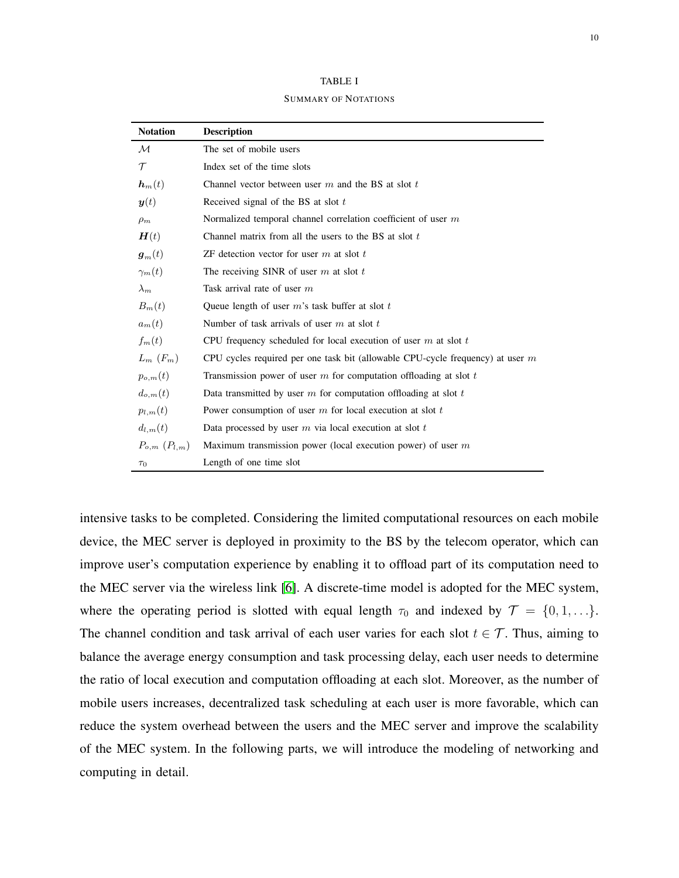| <b>TABLE I</b>              |
|-----------------------------|
| <b>SUMMARY OF NOTATIONS</b> |

| <b>Notation</b>       | <b>Description</b>                                                               |
|-----------------------|----------------------------------------------------------------------------------|
| $\mathcal M$          | The set of mobile users                                                          |
| $\tau$                | Index set of the time slots                                                      |
| $\boldsymbol{h}_m(t)$ | Channel vector between user $m$ and the BS at slot $t$                           |
| $\bm{y}(t)$           | Received signal of the BS at slot t                                              |
| $\rho_m$              | Normalized temporal channel correlation coefficient of user $m$                  |
| H(t)                  | Channel matrix from all the users to the BS at slot $t$                          |
| $\boldsymbol{g}_m(t)$ | ZF detection vector for user $m$ at slot $t$                                     |
| $\gamma_m(t)$         | The receiving SINR of user $m$ at slot $t$                                       |
| $\lambda_m$           | Task arrival rate of user $m$                                                    |
| $B_m(t)$              | Queue length of user $m$ 's task buffer at slot $t$                              |
| $a_m(t)$              | Number of task arrivals of user $m$ at slot $t$                                  |
| $f_m(t)$              | CPU frequency scheduled for local execution of user $m$ at slot $t$              |
| $L_m$ $(F_m)$         | CPU cycles required per one task bit (allowable CPU-cycle frequency) at user $m$ |
| $p_{o,m}(t)$          | Transmission power of user $m$ for computation offloading at slot $t$            |
| $d_{o,m}(t)$          | Data transmitted by user $m$ for computation offloading at slot $t$              |
| $p_{l,m}(t)$          | Power consumption of user $m$ for local execution at slot $t$                    |
| $d_{l,m}(t)$          | Data processed by user $m$ via local execution at slot $t$                       |
| $P_{o,m}$ $(P_{l,m})$ | Maximum transmission power (local execution power) of user $m$                   |
| $\tau_0$              | Length of one time slot                                                          |

intensive tasks to be completed. Considering the limited computational resources on each mobile device, the MEC server is deployed in proximity to the BS by the telecom operator, which can improve user's computation experience by enabling it to offload part of its computation need to the MEC server via the wireless link [\[6\]](#page-24-18). A discrete-time model is adopted for the MEC system, where the operating period is slotted with equal length  $\tau_0$  and indexed by  $\mathcal{T} = \{0, 1, \ldots\}$ . The channel condition and task arrival of each user varies for each slot  $t \in \mathcal{T}$ . Thus, aiming to balance the average energy consumption and task processing delay, each user needs to determine the ratio of local execution and computation offloading at each slot. Moreover, as the number of mobile users increases, decentralized task scheduling at each user is more favorable, which can reduce the system overhead between the users and the MEC server and improve the scalability of the MEC system. In the following parts, we will introduce the modeling of networking and computing in detail.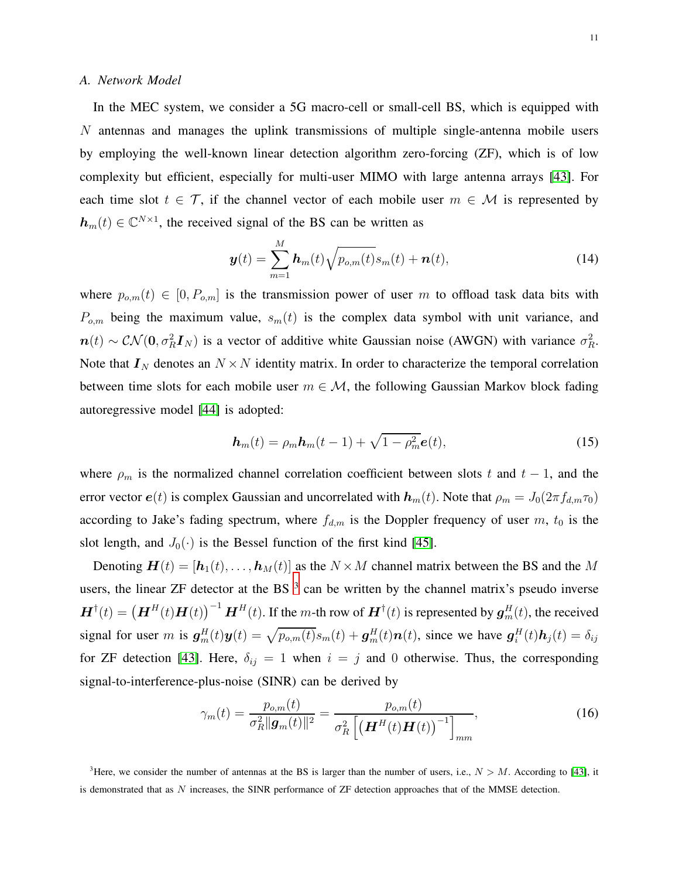#### *A. Network Model*

In the MEC system, we consider a 5G macro-cell or small-cell BS, which is equipped with N antennas and manages the uplink transmissions of multiple single-antenna mobile users by employing the well-known linear detection algorithm zero-forcing (ZF), which is of low complexity but efficient, especially for multi-user MIMO with large antenna arrays [\[43\]](#page-26-0). For each time slot  $t \in \mathcal{T}$ , if the channel vector of each mobile user  $m \in \mathcal{M}$  is represented by  $h_m(t) \in \mathbb{C}^{N \times 1}$ , the received signal of the BS can be written as

$$
\boldsymbol{y}(t) = \sum_{m=1}^{M} \boldsymbol{h}_m(t) \sqrt{p_{o,m}(t)} s_m(t) + \boldsymbol{n}(t), \qquad (14)
$$

where  $p_{o,m}(t) \in [0, P_{o,m}]$  is the transmission power of user m to offload task data bits with  $P_{o,m}$  being the maximum value,  $s_m(t)$  is the complex data symbol with unit variance, and  $n(t) \sim \mathcal{CN}(0, \sigma_R^2 \mathbf{I}_N)$  is a vector of additive white Gaussian noise (AWGN) with variance  $\sigma_R^2$ . Note that  $I_N$  denotes an  $N \times N$  identity matrix. In order to characterize the temporal correlation between time slots for each mobile user  $m \in \mathcal{M}$ , the following Gaussian Markov block fading autoregressive model [\[44\]](#page-26-1) is adopted:

<span id="page-10-2"></span>
$$
\boldsymbol{h}_m(t) = \rho_m \boldsymbol{h}_m(t-1) + \sqrt{1 - \rho_m^2} \boldsymbol{e}(t), \qquad (15)
$$

where  $\rho_m$  is the normalized channel correlation coefficient between slots t and t – 1, and the error vector  $e(t)$  is complex Gaussian and uncorrelated with  $h_m(t)$ . Note that  $\rho_m = J_0(2\pi f_{d,m}\tau_0)$ according to Jake's fading spectrum, where  $f_{d,m}$  is the Doppler frequency of user m,  $t_0$  is the slot length, and  $J_0(\cdot)$  is the Bessel function of the first kind [\[45\]](#page-26-2).

Denoting  $\mathbf{H}(t) = [\mathbf{h}_1(t), \dots, \mathbf{h}_M(t)]$  as the  $N \times M$  channel matrix between the BS and the M users, the linear ZF detector at the BS  $<sup>3</sup>$  $<sup>3</sup>$  $<sup>3</sup>$  can be written by the channel matrix's pseudo inverse</sup>  $\bm{H}^{\dagger}(t) = \left(\bm{H}^H(t)\bm{H}(t)\right)^{-1}\bm{H}^H(t)$ . If the m-th row of  $\bm{H}^{\dagger}(t)$  is represented by  $\bm{g}_m^H(t)$ , the received signal for user m is  $g_m^H(t)y(t) = \sqrt{p_{o,m}(t)}s_m(t) + g_m^H(t)\mathbf{n}(t)$ , since we have  $g_i^H(t)\mathbf{h}_j(t) = \delta_{ij}$ for ZF detection [\[43\]](#page-26-0). Here,  $\delta_{ij} = 1$  when  $i = j$  and 0 otherwise. Thus, the corresponding signal-to-interference-plus-noise (SINR) can be derived by

<span id="page-10-1"></span>
$$
\gamma_m(t) = \frac{p_{o,m}(t)}{\sigma_R^2 \|\mathbf{g}_m(t)\|^2} = \frac{p_{o,m}(t)}{\sigma_R^2 \left[ \left(\mathbf{H}^H(t)\mathbf{H}(t)\right)^{-1} \right]_{mm}},\tag{16}
$$

<span id="page-10-0"></span><sup>&</sup>lt;sup>3</sup>Here, we consider the number of antennas at the BS is larger than the number of users, i.e.,  $N > M$ . According to [\[43\]](#page-26-0), it is demonstrated that as N increases, the SINR performance of ZF detection approaches that of the MMSE detection.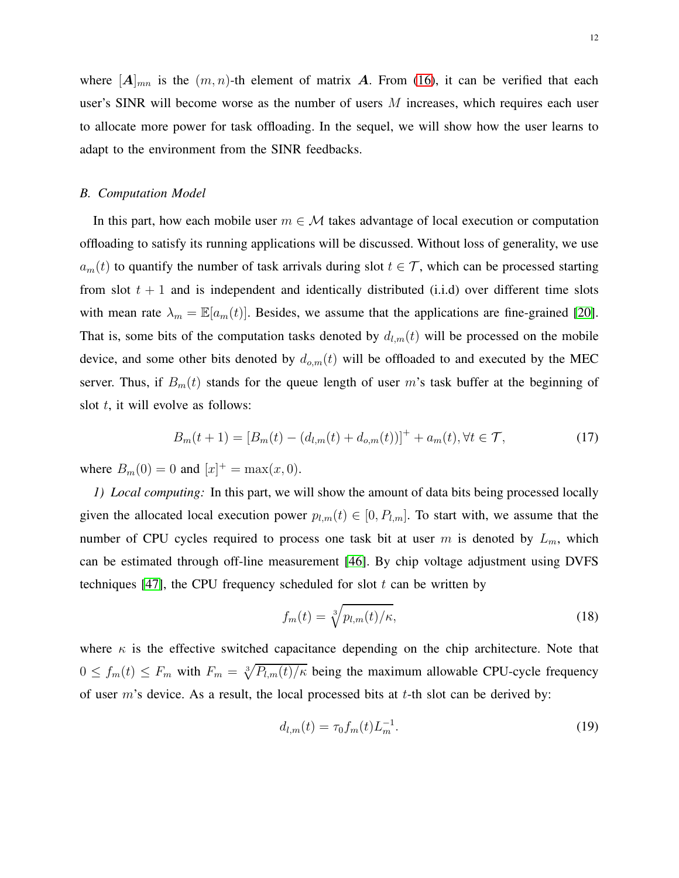where  $[A]_{mn}$  is the  $(m, n)$ -th element of matrix A. From [\(16\)](#page-10-1), it can be verified that each user's SINR will become worse as the number of users  $M$  increases, which requires each user to allocate more power for task offloading. In the sequel, we will show how the user learns to adapt to the environment from the SINR feedbacks.

#### *B. Computation Model*

In this part, how each mobile user  $m \in \mathcal{M}$  takes advantage of local execution or computation offloading to satisfy its running applications will be discussed. Without loss of generality, we use  $a_m(t)$  to quantify the number of task arrivals during slot  $t \in \mathcal{T}$ , which can be processed starting from slot  $t + 1$  and is independent and identically distributed (i.i.d) over different time slots with mean rate  $\lambda_m = \mathbb{E}[a_m(t)]$ . Besides, we assume that the applications are fine-grained [\[20\]](#page-24-17). That is, some bits of the computation tasks denoted by  $d_{l,m}(t)$  will be processed on the mobile device, and some other bits denoted by  $d_{o,m}(t)$  will be offloaded to and executed by the MEC server. Thus, if  $B_m(t)$  stands for the queue length of user m's task buffer at the beginning of slot  $t$ , it will evolve as follows:

$$
B_m(t+1) = [B_m(t) - (d_{l,m}(t) + d_{o,m}(t))]^+ + a_m(t), \forall t \in \mathcal{T},
$$
\n(17)

where  $B_m(0) = 0$  and  $[x]^+ = \max(x, 0)$ .

*1) Local computing:* In this part, we will show the amount of data bits being processed locally given the allocated local execution power  $p_{l,m}(t) \in [0, P_{l,m}]$ . To start with, we assume that the number of CPU cycles required to process one task bit at user m is denoted by  $L_m$ , which can be estimated through off-line measurement [\[46\]](#page-26-3). By chip voltage adjustment using DVFS techniques [\[47\]](#page-26-4), the CPU frequency scheduled for slot  $t$  can be written by

<span id="page-11-0"></span>
$$
f_m(t) = \sqrt[3]{p_{l,m}(t)/\kappa},\tag{18}
$$

where  $\kappa$  is the effective switched capacitance depending on the chip architecture. Note that  $0 \le f_m(t) \le F_m$  with  $F_m = \sqrt[3]{P_{l,m}(t)/\kappa}$  being the maximum allowable CPU-cycle frequency of user  $m$ 's device. As a result, the local processed bits at  $t$ -th slot can be derived by:

$$
d_{l,m}(t) = \tau_0 f_m(t) L_m^{-1}.
$$
\n(19)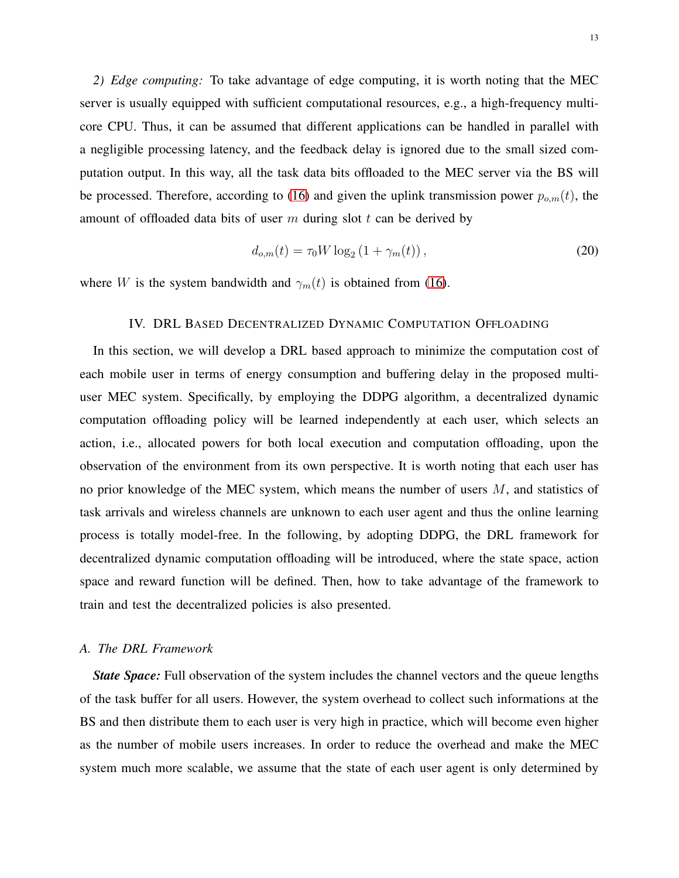*2) Edge computing:* To take advantage of edge computing, it is worth noting that the MEC server is usually equipped with sufficient computational resources, e.g., a high-frequency multicore CPU. Thus, it can be assumed that different applications can be handled in parallel with a negligible processing latency, and the feedback delay is ignored due to the small sized computation output. In this way, all the task data bits offloaded to the MEC server via the BS will be processed. Therefore, according to [\(16\)](#page-10-1) and given the uplink transmission power  $p_{o,m}(t)$ , the amount of offloaded data bits of user  $m$  during slot  $t$  can be derived by

$$
d_{o,m}(t) = \tau_0 W \log_2 (1 + \gamma_m(t)),
$$
\n(20)

<span id="page-12-0"></span>where W is the system bandwidth and  $\gamma_m(t)$  is obtained from [\(16\)](#page-10-1).

## IV. DRL BASED DECENTRALIZED DYNAMIC COMPUTATION OFFLOADING

In this section, we will develop a DRL based approach to minimize the computation cost of each mobile user in terms of energy consumption and buffering delay in the proposed multiuser MEC system. Specifically, by employing the DDPG algorithm, a decentralized dynamic computation offloading policy will be learned independently at each user, which selects an action, i.e., allocated powers for both local execution and computation offloading, upon the observation of the environment from its own perspective. It is worth noting that each user has no prior knowledge of the MEC system, which means the number of users  $M$ , and statistics of task arrivals and wireless channels are unknown to each user agent and thus the online learning process is totally model-free. In the following, by adopting DDPG, the DRL framework for decentralized dynamic computation offloading will be introduced, where the state space, action space and reward function will be defined. Then, how to take advantage of the framework to train and test the decentralized policies is also presented.

## *A. The DRL Framework*

*State Space:* Full observation of the system includes the channel vectors and the queue lengths of the task buffer for all users. However, the system overhead to collect such informations at the BS and then distribute them to each user is very high in practice, which will become even higher as the number of mobile users increases. In order to reduce the overhead and make the MEC system much more scalable, we assume that the state of each user agent is only determined by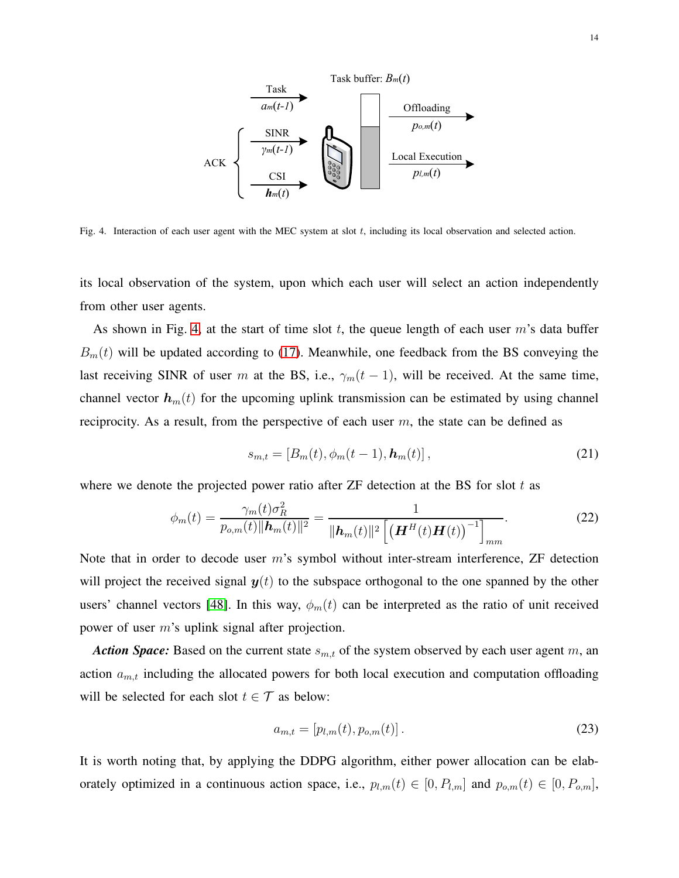

<span id="page-13-0"></span>Fig. 4. Interaction of each user agent with the MEC system at slot  $t$ , including its local observation and selected action.

its local observation of the system, upon which each user will select an action independently from other user agents.

As shown in Fig. [4,](#page-13-0) at the start of time slot t, the queue length of each user  $m$ 's data buffer  $B_m(t)$  will be updated according to [\(17\)](#page-11-0). Meanwhile, one feedback from the BS conveying the last receiving SINR of user m at the BS, i.e.,  $\gamma_m(t-1)$ , will be received. At the same time, channel vector  $h_m(t)$  for the upcoming uplink transmission can be estimated by using channel reciprocity. As a result, from the perspective of each user  $m$ , the state can be defined as

$$
s_{m,t} = [B_m(t), \phi_m(t-1), \mathbf{h}_m(t)], \qquad (21)
$$

where we denote the projected power ratio after  $ZF$  detection at the BS for slot t as

$$
\phi_m(t) = \frac{\gamma_m(t)\sigma_R^2}{p_{o,m}(t)||\mathbf{h}_m(t)||^2} = \frac{1}{||\mathbf{h}_m(t)||^2 \left[ \left(\mathbf{H}^H(t)\mathbf{H}(t)\right)^{-1} \right]_{mm}}.
$$
\n(22)

Note that in order to decode user  $m$ 's symbol without inter-stream interference,  $ZF$  detection will project the received signal  $y(t)$  to the subspace orthogonal to the one spanned by the other users' channel vectors [\[48\]](#page-26-5). In this way,  $\phi_m(t)$  can be interpreted as the ratio of unit received power of user m's uplink signal after projection.

*Action Space:* Based on the current state  $s_{m,t}$  of the system observed by each user agent m, an action  $a_{m,t}$  including the allocated powers for both local execution and computation offloading will be selected for each slot  $t \in \mathcal{T}$  as below:

$$
a_{m,t} = [p_{l,m}(t), p_{o,m}(t)].
$$
\n(23)

It is worth noting that, by applying the DDPG algorithm, either power allocation can be elaborately optimized in a continuous action space, i.e.,  $p_{l,m}(t) \in [0, P_{l,m}]$  and  $p_{o,m}(t) \in [0, P_{o,m}]$ ,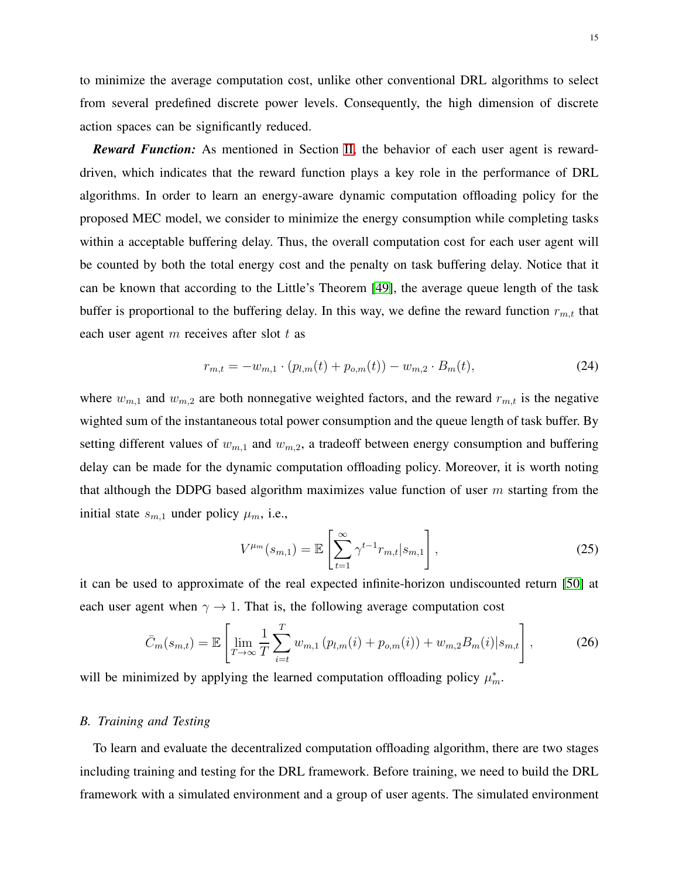to minimize the average computation cost, unlike other conventional DRL algorithms to select from several predefined discrete power levels. Consequently, the high dimension of discrete action spaces can be significantly reduced.

*Reward Function:* As mentioned in Section [II,](#page-4-0) the behavior of each user agent is rewarddriven, which indicates that the reward function plays a key role in the performance of DRL algorithms. In order to learn an energy-aware dynamic computation offloading policy for the proposed MEC model, we consider to minimize the energy consumption while completing tasks within a acceptable buffering delay. Thus, the overall computation cost for each user agent will be counted by both the total energy cost and the penalty on task buffering delay. Notice that it can be known that according to the Little's Theorem [\[49\]](#page-26-6), the average queue length of the task buffer is proportional to the buffering delay. In this way, we define the reward function  $r_{m,t}$  that each user agent  $m$  receives after slot  $t$  as

<span id="page-14-0"></span>
$$
r_{m,t} = -w_{m,1} \cdot (p_{l,m}(t) + p_{o,m}(t)) - w_{m,2} \cdot B_m(t), \tag{24}
$$

where  $w_{m,1}$  and  $w_{m,2}$  are both nonnegative weighted factors, and the reward  $r_{m,t}$  is the negative wighted sum of the instantaneous total power consumption and the queue length of task buffer. By setting different values of  $w_{m,1}$  and  $w_{m,2}$ , a tradeoff between energy consumption and buffering delay can be made for the dynamic computation offloading policy. Moreover, it is worth noting that although the DDPG based algorithm maximizes value function of user  $m$  starting from the initial state  $s_{m,1}$  under policy  $\mu_m$ , i.e.,

$$
V^{\mu_m}(s_{m,1}) = \mathbb{E}\left[\sum_{t=1}^{\infty} \gamma^{t-1} r_{m,t} | s_{m,1}\right],
$$
\n(25)

it can be used to approximate of the real expected infinite-horizon undiscounted return [\[50\]](#page-26-7) at each user agent when  $\gamma \rightarrow 1$ . That is, the following average computation cost

$$
\bar{C}_m(s_{m,t}) = \mathbb{E}\left[\lim_{T \to \infty} \frac{1}{T} \sum_{i=t}^T w_{m,1} \left(p_{l,m}(i) + p_{o,m}(i)\right) + w_{m,2} B_m(i) | s_{m,t}\right],\tag{26}
$$

will be minimized by applying the learned computation offloading policy  $\mu_m^*$ .

## *B. Training and Testing*

To learn and evaluate the decentralized computation offloading algorithm, there are two stages including training and testing for the DRL framework. Before training, we need to build the DRL framework with a simulated environment and a group of user agents. The simulated environment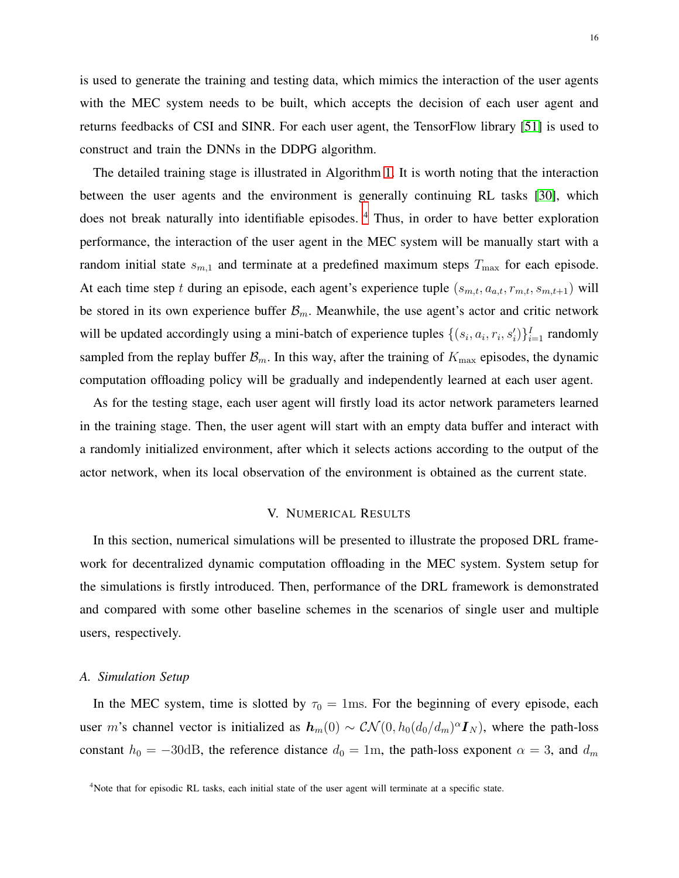is used to generate the training and testing data, which mimics the interaction of the user agents with the MEC system needs to be built, which accepts the decision of each user agent and returns feedbacks of CSI and SINR. For each user agent, the TensorFlow library [\[51\]](#page-26-8) is used to construct and train the DNNs in the DDPG algorithm.

The detailed training stage is illustrated in Algorithm [1.](#page-16-0) It is worth noting that the interaction between the user agents and the environment is generally continuing RL tasks [\[30\]](#page-25-9), which does not break naturally into identifiable episodes.<sup>[4](#page-15-1)</sup> Thus, in order to have better exploration performance, the interaction of the user agent in the MEC system will be manually start with a random initial state  $s_{m,1}$  and terminate at a predefined maximum steps  $T_{\text{max}}$  for each episode. At each time step t during an episode, each agent's experience tuple  $(s_{m,t}, a_{a,t}, r_{m,t}, s_{m,t+1})$  will be stored in its own experience buffer  $\mathcal{B}_m$ . Meanwhile, the use agent's actor and critic network will be updated accordingly using a mini-batch of experience tuples  $\{(s_i, a_i, r_i, s'_i)\}_{i=1}^I$  randomly sampled from the replay buffer  $\mathcal{B}_m$ . In this way, after the training of  $K_{\text{max}}$  episodes, the dynamic computation offloading policy will be gradually and independently learned at each user agent.

As for the testing stage, each user agent will firstly load its actor network parameters learned in the training stage. Then, the user agent will start with an empty data buffer and interact with a randomly initialized environment, after which it selects actions according to the output of the actor network, when its local observation of the environment is obtained as the current state.

## V. NUMERICAL RESULTS

<span id="page-15-0"></span>In this section, numerical simulations will be presented to illustrate the proposed DRL framework for decentralized dynamic computation offloading in the MEC system. System setup for the simulations is firstly introduced. Then, performance of the DRL framework is demonstrated and compared with some other baseline schemes in the scenarios of single user and multiple users, respectively.

#### *A. Simulation Setup*

In the MEC system, time is slotted by  $\tau_0 = 1$ ms. For the beginning of every episode, each user m's channel vector is initialized as  $h_m(0) \sim \mathcal{CN}(0, h_0(d_0/d_m)^{\alpha} I_N)$ , where the path-loss constant  $h_0 = -30$ dB, the reference distance  $d_0 = 1$ m, the path-loss exponent  $\alpha = 3$ , and  $d_m$ 

<span id="page-15-1"></span><sup>&</sup>lt;sup>4</sup>Note that for episodic RL tasks, each initial state of the user agent will terminate at a specific state.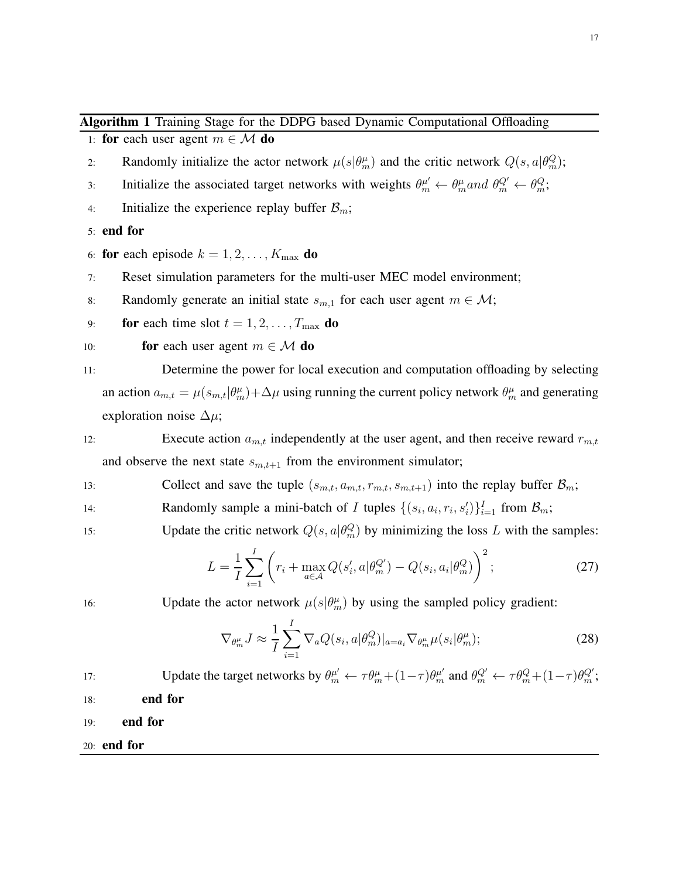<span id="page-16-0"></span>1: for each user agent  $m \in \mathcal{M}$  do

- 2: Randomly initialize the actor network  $\mu(s|\theta_m^{\mu})$  and the critic network  $Q(s, a|\theta_m^Q);$
- 3: Initialize the associated target networks with weights  $\theta_m^{\mu'} \leftarrow \theta_m^{\mu}$  and  $\theta_m^{Q'} \leftarrow \theta_m^Q$ ;
- 4: Initialize the experience replay buffer  $\mathcal{B}_m$ ;

5: end for

- 6: for each episode  $k = 1, 2, \ldots, K_{\text{max}}$  do
- 7: Reset simulation parameters for the multi-user MEC model environment;
- 8: Randomly generate an initial state  $s_{m,1}$  for each user agent  $m \in \mathcal{M}$ ;
- 9: **for** each time slot  $t = 1, 2, \ldots, T_{\text{max}}$  **do**
- 10: **for** each user agent  $m \in \mathcal{M}$  do

11: Determine the power for local execution and computation offloading by selecting an action  $a_{m,t} = \mu(s_{m,t}|\theta_m^{\mu}) + \Delta\mu$  using running the current policy network  $\theta_m^{\mu}$  and generating exploration noise  $\Delta \mu$ ;

- 12: Execute action  $a_{m,t}$  independently at the user agent, and then receive reward  $r_{m,t}$ and observe the next state  $s_{m,t+1}$  from the environment simulator;
- 13: Collect and save the tuple  $(s_{m,t}, a_{m,t}, r_{m,t}, s_{m,t+1})$  into the replay buffer  $\mathcal{B}_m$ ;
- 14: Randomly sample a mini-batch of I tuples  $\{(s_i, a_i, r_i, s'_i)\}_{i=1}^I$  from  $\mathcal{B}_m$ ;
- 15: Update the critic network  $Q(s, a | \theta_m^Q)$  by minimizing the loss L with the samples:

$$
L = \frac{1}{I} \sum_{i=1}^{I} \left( r_i + \max_{a \in \mathcal{A}} Q(s'_i, a | \theta_m^{Q'}) - Q(s_i, a_i | \theta_m^{Q}) \right)^2; \tag{27}
$$

16: Update the actor network  $\mu(s|\theta_m^{\mu})$  by using the sampled policy gradient:

$$
\nabla_{\theta_m^{\mu}} J \approx \frac{1}{I} \sum_{i=1}^{I} \nabla_a Q(s_i, a | \theta_m^Q)|_{a=a_i} \nabla_{\theta_m^{\mu}} \mu(s_i | \theta_m^{\mu}); \tag{28}
$$

17: Update the target networks by  $\theta_m^{\mu'} \leftarrow \tau \theta_m^{\mu} + (1 - \tau) \theta_m^{\mu'}$  and  $\theta_m^{Q'} \leftarrow \tau \theta_m^Q + (1 - \tau) \theta_m^{Q'}$ ; 18: end for

19: end for

20: end for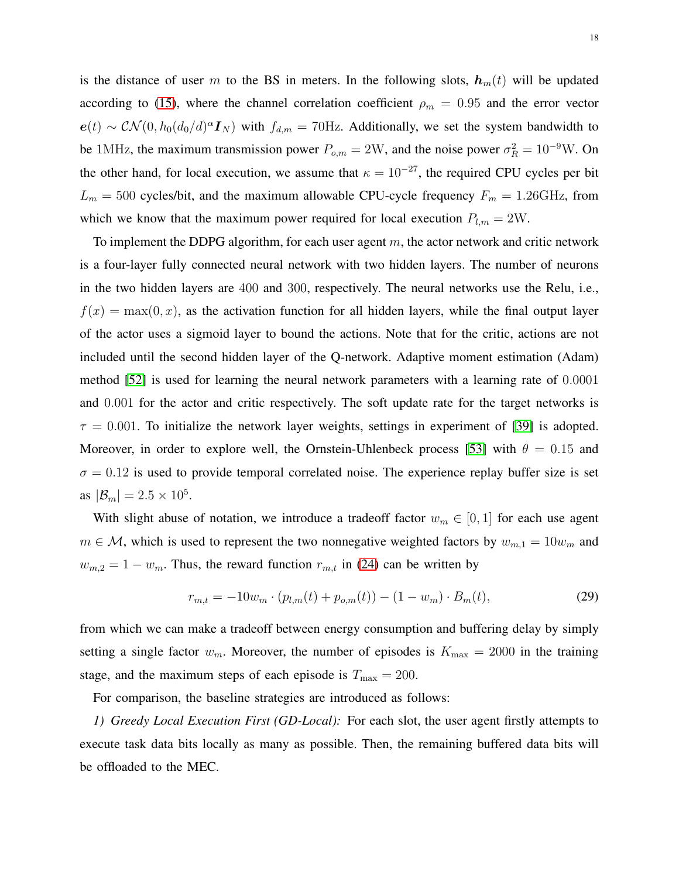is the distance of user m to the BS in meters. In the following slots,  $h_m(t)$  will be updated according to [\(15\)](#page-10-2), where the channel correlation coefficient  $\rho_m = 0.95$  and the error vector  $e(t) \sim \mathcal{CN}(0, h_0(d_0/d)^{\alpha} \mathbf{I}_N)$  with  $f_{d,m} = 70$ Hz. Additionally, we set the system bandwidth to be 1MHz, the maximum transmission power  $P_{o,m} = 2W$ , and the noise power  $\sigma_R^2 = 10^{-9}W$ . On the other hand, for local execution, we assume that  $\kappa = 10^{-27}$ , the required CPU cycles per bit  $L_m = 500$  cycles/bit, and the maximum allowable CPU-cycle frequency  $F_m = 1.26$ GHz, from which we know that the maximum power required for local execution  $P_{l,m} = 2W$ .

To implement the DDPG algorithm, for each user agent  $m$ , the actor network and critic network is a four-layer fully connected neural network with two hidden layers. The number of neurons in the two hidden layers are 400 and 300, respectively. The neural networks use the Relu, i.e.,  $f(x) = \max(0, x)$ , as the activation function for all hidden layers, while the final output layer of the actor uses a sigmoid layer to bound the actions. Note that for the critic, actions are not included until the second hidden layer of the Q-network. Adaptive moment estimation (Adam) method [\[52\]](#page-26-9) is used for learning the neural network parameters with a learning rate of 0.0001 and 0.001 for the actor and critic respectively. The soft update rate for the target networks is  $\tau = 0.001$ . To initialize the network layer weights, settings in experiment of [\[39\]](#page-25-17) is adopted. Moreover, in order to explore well, the Ornstein-Uhlenbeck process [\[53\]](#page-26-10) with  $\theta = 0.15$  and  $\sigma = 0.12$  is used to provide temporal correlated noise. The experience replay buffer size is set as  $|\mathcal{B}_m| = 2.5 \times 10^5$ .

With slight abuse of notation, we introduce a tradeoff factor  $w_m \in [0, 1]$  for each use agent  $m \in \mathcal{M}$ , which is used to represent the two nonnegative weighted factors by  $w_{m,1} = 10w_m$  and  $w_{m,2} = 1 - w_m$ . Thus, the reward function  $r_{m,t}$  in [\(24\)](#page-14-0) can be written by

<span id="page-17-0"></span>
$$
r_{m,t} = -10w_m \cdot (p_{l,m}(t) + p_{o,m}(t)) - (1 - w_m) \cdot B_m(t), \tag{29}
$$

from which we can make a tradeoff between energy consumption and buffering delay by simply setting a single factor  $w_m$ . Moreover, the number of episodes is  $K_{\text{max}} = 2000$  in the training stage, and the maximum steps of each episode is  $T_{\text{max}} = 200$ .

For comparison, the baseline strategies are introduced as follows:

*1) Greedy Local Execution First (GD-Local):* For each slot, the user agent firstly attempts to execute task data bits locally as many as possible. Then, the remaining buffered data bits will be offloaded to the MEC.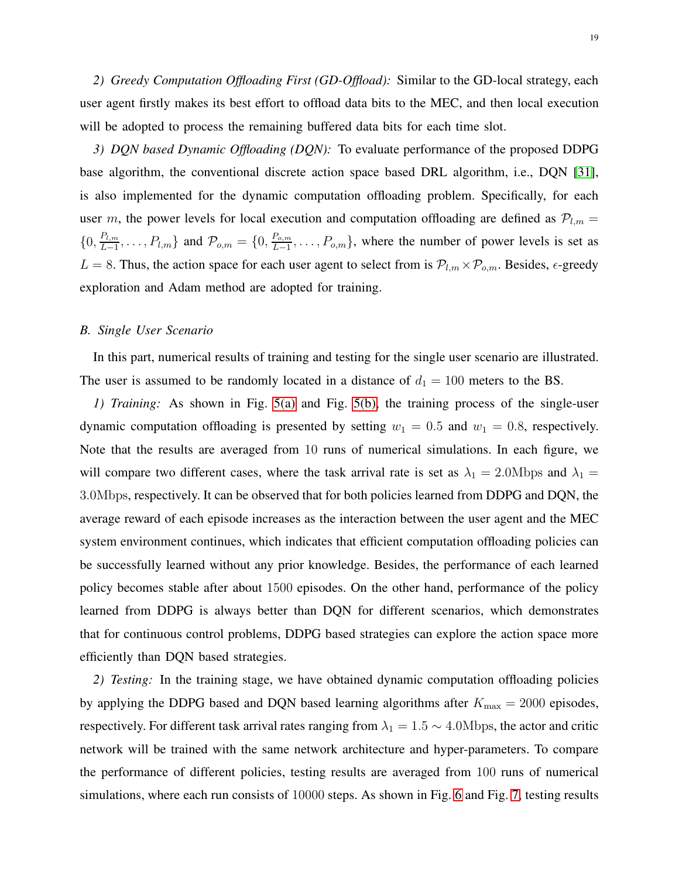*2) Greedy Computation Offloading First (GD-Offload):* Similar to the GD-local strategy, each user agent firstly makes its best effort to offload data bits to the MEC, and then local execution will be adopted to process the remaining buffered data bits for each time slot.

*3) DQN based Dynamic Offloading (DQN):* To evaluate performance of the proposed DDPG base algorithm, the conventional discrete action space based DRL algorithm, i.e., DQN [\[31\]](#page-25-10), is also implemented for the dynamic computation offloading problem. Specifically, for each user m, the power levels for local execution and computation offloading are defined as  $P_{l,m}$  =  $\{0, \frac{P_{l,m}}{L-1}\}$  $\{P_{l,m}}{L-1}, \ldots, P_{l,m}\}$  and  $\mathcal{P}_{o,m} = \{0, \frac{P_{o,m}}{L-1}\}$  $\{E_{0,m}^{P_{0,m}}, \ldots, P_{0,m}\}$ , where the number of power levels is set as  $L = 8$ . Thus, the action space for each user agent to select from is  $\mathcal{P}_{l,m} \times \mathcal{P}_{o,m}$ . Besides,  $\epsilon$ -greedy exploration and Adam method are adopted for training.

#### *B. Single User Scenario*

In this part, numerical results of training and testing for the single user scenario are illustrated. The user is assumed to be randomly located in a distance of  $d_1 = 100$  meters to the BS.

*1) Training:* As shown in Fig. [5\(a\)](#page-19-0) and Fig. [5\(b\),](#page-19-1) the training process of the single-user dynamic computation offloading is presented by setting  $w_1 = 0.5$  and  $w_1 = 0.8$ , respectively. Note that the results are averaged from 10 runs of numerical simulations. In each figure, we will compare two different cases, where the task arrival rate is set as  $\lambda_1 = 2.0 \text{Mbps}$  and  $\lambda_1 =$ 3.0Mbps, respectively. It can be observed that for both policies learned from DDPG and DQN, the average reward of each episode increases as the interaction between the user agent and the MEC system environment continues, which indicates that efficient computation offloading policies can be successfully learned without any prior knowledge. Besides, the performance of each learned policy becomes stable after about 1500 episodes. On the other hand, performance of the policy learned from DDPG is always better than DQN for different scenarios, which demonstrates that for continuous control problems, DDPG based strategies can explore the action space more efficiently than DQN based strategies.

*2) Testing:* In the training stage, we have obtained dynamic computation offloading policies by applying the DDPG based and DQN based learning algorithms after  $K_{\text{max}} = 2000$  episodes, respectively. For different task arrival rates ranging from  $\lambda_1 = 1.5 \sim 4.0 \text{Mbps}$ , the actor and critic network will be trained with the same network architecture and hyper-parameters. To compare the performance of different policies, testing results are averaged from 100 runs of numerical simulations, where each run consists of 10000 steps. As shown in Fig. [6](#page-20-0) and Fig. [7,](#page-20-1) testing results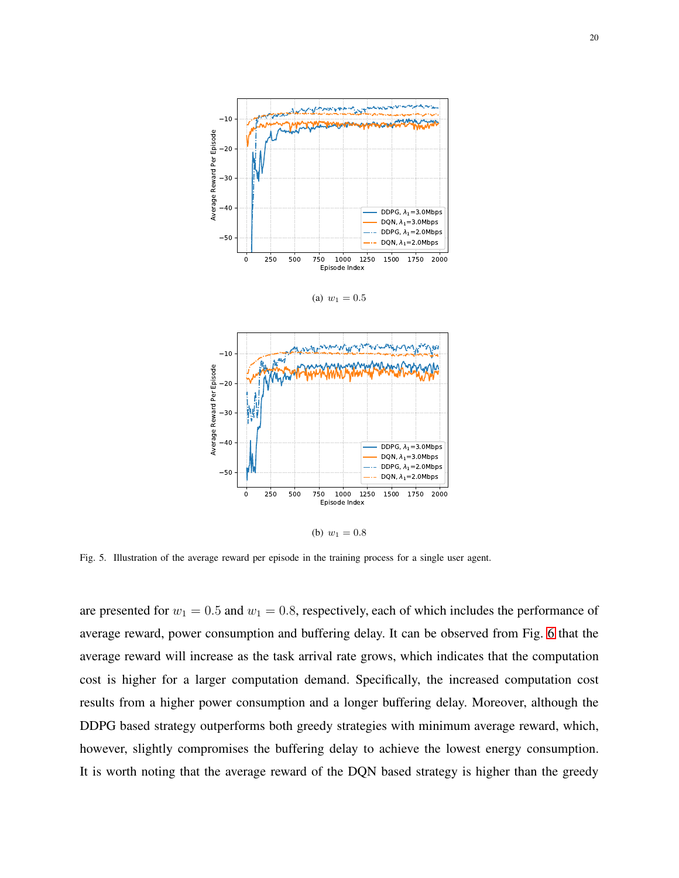<span id="page-19-0"></span>



<span id="page-19-1"></span>Fig. 5. Illustration of the average reward per episode in the training process for a single user agent.

are presented for  $w_1 = 0.5$  and  $w_1 = 0.8$ , respectively, each of which includes the performance of average reward, power consumption and buffering delay. It can be observed from Fig. [6](#page-20-0) that the average reward will increase as the task arrival rate grows, which indicates that the computation cost is higher for a larger computation demand. Specifically, the increased computation cost results from a higher power consumption and a longer buffering delay. Moreover, although the DDPG based strategy outperforms both greedy strategies with minimum average reward, which, however, slightly compromises the buffering delay to achieve the lowest energy consumption. It is worth noting that the average reward of the DQN based strategy is higher than the greedy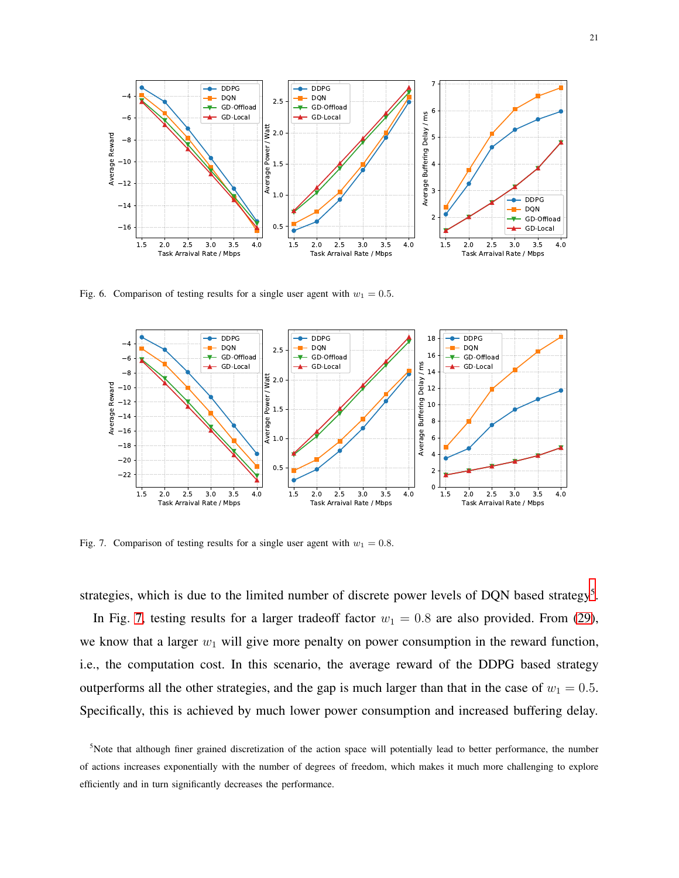

<span id="page-20-0"></span>Fig. 6. Comparison of testing results for a single user agent with  $w_1 = 0.5$ .



<span id="page-20-1"></span>Fig. 7. Comparison of testing results for a single user agent with  $w_1 = 0.8$ .

strategies, which is due to the limited number of discrete power levels of DQN based strategy<sup>[5](#page-20-2)</sup>.

In Fig. [7,](#page-20-1) testing results for a larger tradeoff factor  $w_1 = 0.8$  are also provided. From [\(29\)](#page-17-0), we know that a larger  $w_1$  will give more penalty on power consumption in the reward function, i.e., the computation cost. In this scenario, the average reward of the DDPG based strategy outperforms all the other strategies, and the gap is much larger than that in the case of  $w_1 = 0.5$ . Specifically, this is achieved by much lower power consumption and increased buffering delay.

<span id="page-20-2"></span><sup>&</sup>lt;sup>5</sup>Note that although finer grained discretization of the action space will potentially lead to better performance, the number of actions increases exponentially with the number of degrees of freedom, which makes it much more challenging to explore efficiently and in turn significantly decreases the performance.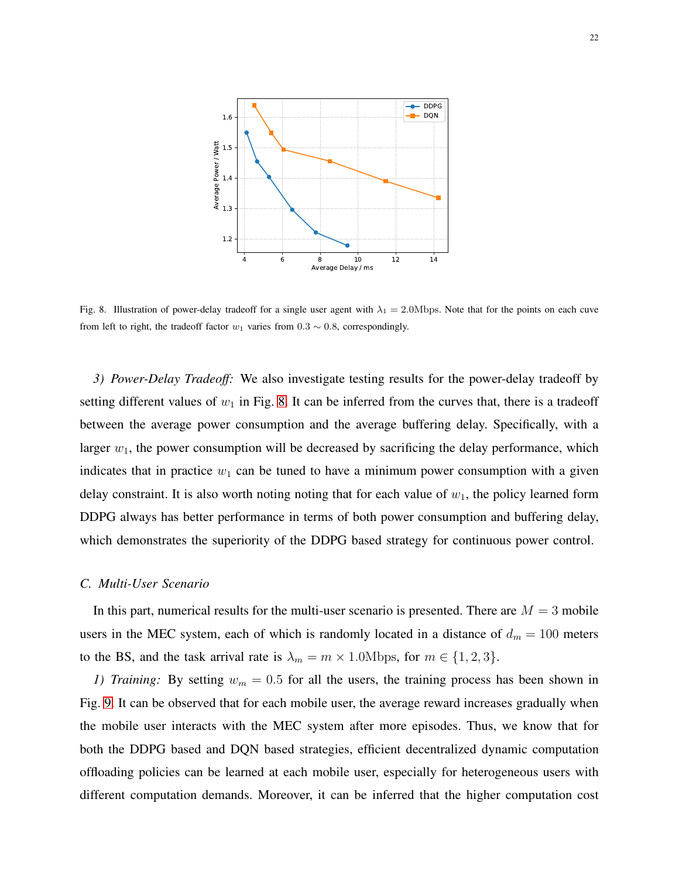

<span id="page-21-0"></span>Fig. 8. Illustration of power-delay tradeoff for a single user agent with  $\lambda_1 = 2.0 \text{Mbps}$ . Note that for the points on each cuve from left to right, the tradeoff factor  $w_1$  varies from 0.3  $\sim$  0.8, correspondingly.

*3) Power-Delay Tradeoff:* We also investigate testing results for the power-delay tradeoff by setting different values of  $w_1$  in Fig. [8.](#page-21-0) It can be inferred from the curves that, there is a tradeoff between the average power consumption and the average buffering delay. Specifically, with a larger  $w_1$ , the power consumption will be decreased by sacrificing the delay performance, which indicates that in practice  $w_1$  can be tuned to have a minimum power consumption with a given delay constraint. It is also worth noting noting that for each value of  $w_1$ , the policy learned form DDPG always has better performance in terms of both power consumption and buffering delay, which demonstrates the superiority of the DDPG based strategy for continuous power control.

#### *C. Multi-User Scenario*

In this part, numerical results for the multi-user scenario is presented. There are  $M = 3$  mobile users in the MEC system, each of which is randomly located in a distance of  $d_m = 100$  meters to the BS, and the task arrival rate is  $\lambda_m = m \times 1.0 \text{Mbps}$ , for  $m \in \{1, 2, 3\}$ .

*1) Training:* By setting  $w_m = 0.5$  for all the users, the training process has been shown in Fig. [9.](#page-22-0) It can be observed that for each mobile user, the average reward increases gradually when the mobile user interacts with the MEC system after more episodes. Thus, we know that for both the DDPG based and DQN based strategies, efficient decentralized dynamic computation offloading policies can be learned at each mobile user, especially for heterogeneous users with different computation demands. Moreover, it can be inferred that the higher computation cost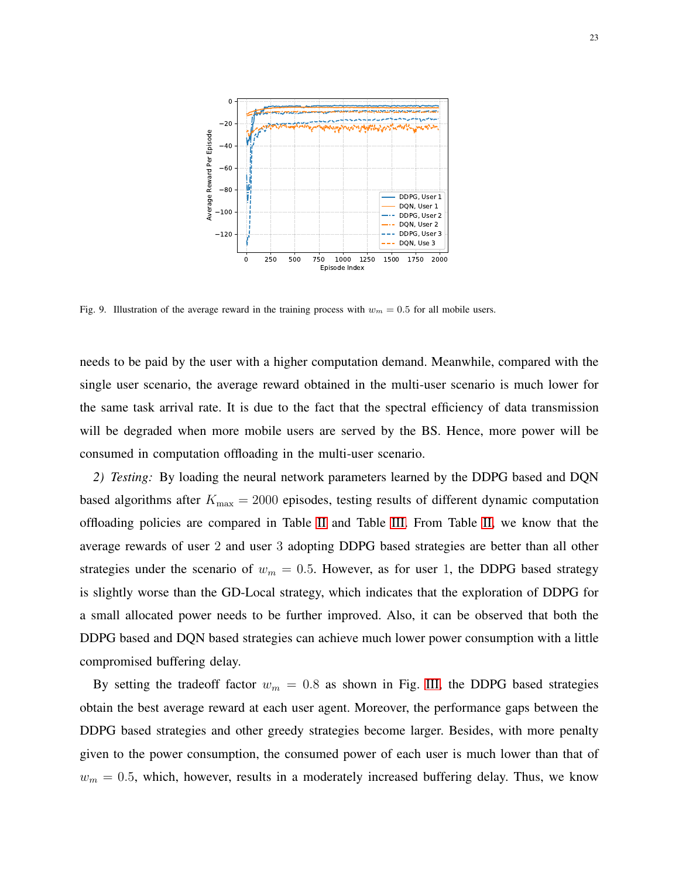

<span id="page-22-0"></span>Fig. 9. Illustration of the average reward in the training process with  $w_m = 0.5$  for all mobile users.

needs to be paid by the user with a higher computation demand. Meanwhile, compared with the single user scenario, the average reward obtained in the multi-user scenario is much lower for the same task arrival rate. It is due to the fact that the spectral efficiency of data transmission will be degraded when more mobile users are served by the BS. Hence, more power will be consumed in computation offloading in the multi-user scenario.

*2) Testing:* By loading the neural network parameters learned by the DDPG based and DQN based algorithms after  $K_{\text{max}} = 2000$  episodes, testing results of different dynamic computation offloading policies are compared in Table [II](#page-23-1) and Table [III.](#page-23-2) From Table [II,](#page-23-1) we know that the average rewards of user 2 and user 3 adopting DDPG based strategies are better than all other strategies under the scenario of  $w_m = 0.5$ . However, as for user 1, the DDPG based strategy is slightly worse than the GD-Local strategy, which indicates that the exploration of DDPG for a small allocated power needs to be further improved. Also, it can be observed that both the DDPG based and DQN based strategies can achieve much lower power consumption with a little compromised buffering delay.

By setting the tradeoff factor  $w_m = 0.8$  as shown in Fig. [III,](#page-23-2) the DDPG based strategies obtain the best average reward at each user agent. Moreover, the performance gaps between the DDPG based strategies and other greedy strategies become larger. Besides, with more penalty given to the power consumption, the consumed power of each user is much lower than that of  $w_m = 0.5$ , which, however, results in a moderately increased buffering delay. Thus, we know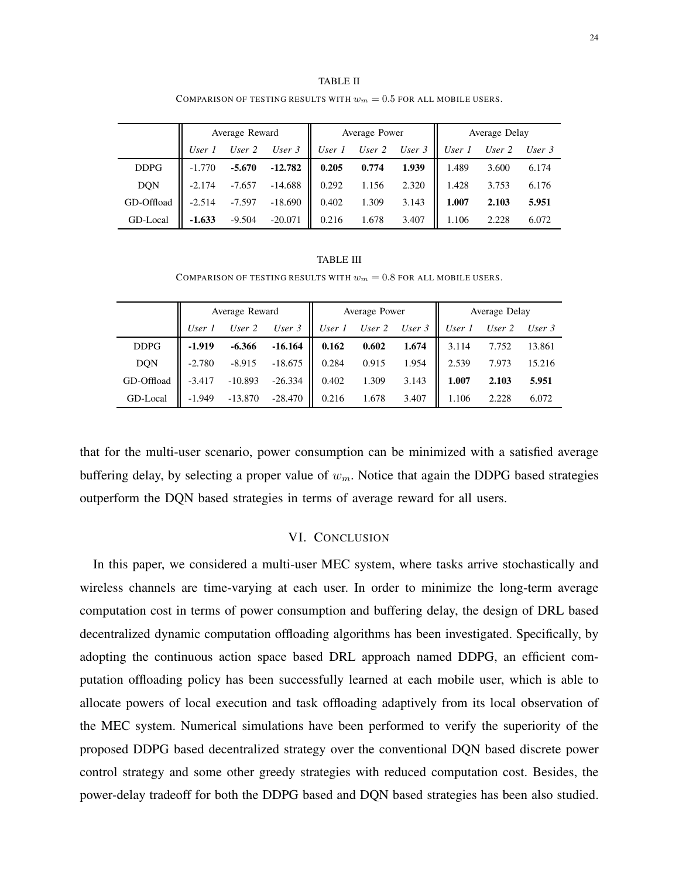<span id="page-23-1"></span>

|             | Average Reward |          |           | Average Power |        |          | Average Delay |        |        |
|-------------|----------------|----------|-----------|---------------|--------|----------|---------------|--------|--------|
|             | User 1         | User $2$ | User $3$  | User 1        | User 2 | User $3$ | User 1        | User 2 | User 3 |
| <b>DDPG</b> | $-1.770$       | $-5.670$ | $-12.782$ | 0.205         | 0.774  | 1.939    | 1.489         | 3.600  | 6.174  |
| <b>DQN</b>  | $-2.174$       | $-7.657$ | $-14.688$ | 0.292         | 1.156  | 2.320    | 1.428         | 3.753  | 6.176  |
| GD-Offload  | $-2.514$       | $-7.597$ | $-18.690$ | 0.402         | 1.309  | 3.143    | 1.007         | 2.103  | 5.951  |
| GD-Local    | $-1.633$       | $-9.504$ | $-20.071$ | 0.216         | 1.678  | 3.407    | 1.106         | 2.228  | 6.072  |

TABLE II COMPARISON OF TESTING RESULTS WITH  $w_m = 0.5$  for all mobile users.

#### TABLE III

COMPARISON OF TESTING RESULTS WITH  $w_m = 0.8$  FOR ALL MOBILE USERS.

<span id="page-23-2"></span>

|             | Average Reward |           |           | Average Power |        |          | Average Delay |          |          |
|-------------|----------------|-----------|-----------|---------------|--------|----------|---------------|----------|----------|
|             | User 1         | User 2    | User $3$  | User $1$      | User 2 | User $3$ | User 1        | User $2$ | User $3$ |
| <b>DDPG</b> | $-1.919$       | $-6.366$  | $-16.164$ | 0.162         | 0.602  | 1.674    | 3.114         | 7.752    | 13.861   |
| <b>DQN</b>  | $-2.780$       | $-8.915$  | $-18.675$ | 0.284         | 0.915  | 1.954    | 2.539         | 7.973    | 15.216   |
| GD-Offload  | $-3.417$       | $-10.893$ | $-26.334$ | 0.402         | 1.309  | 3.143    | 1.007         | 2.103    | 5.951    |
| GD-Local    | $-1.949$       | $-13.870$ | $-28.470$ | 0.216         | 1.678  | 3.407    | 1.106         | 2.228    | 6.072    |

<span id="page-23-0"></span>that for the multi-user scenario, power consumption can be minimized with a satisfied average buffering delay, by selecting a proper value of  $w_m$ . Notice that again the DDPG based strategies outperform the DQN based strategies in terms of average reward for all users.

### VI. CONCLUSION

In this paper, we considered a multi-user MEC system, where tasks arrive stochastically and wireless channels are time-varying at each user. In order to minimize the long-term average computation cost in terms of power consumption and buffering delay, the design of DRL based decentralized dynamic computation offloading algorithms has been investigated. Specifically, by adopting the continuous action space based DRL approach named DDPG, an efficient computation offloading policy has been successfully learned at each mobile user, which is able to allocate powers of local execution and task offloading adaptively from its local observation of the MEC system. Numerical simulations have been performed to verify the superiority of the proposed DDPG based decentralized strategy over the conventional DQN based discrete power control strategy and some other greedy strategies with reduced computation cost. Besides, the power-delay tradeoff for both the DDPG based and DQN based strategies has been also studied.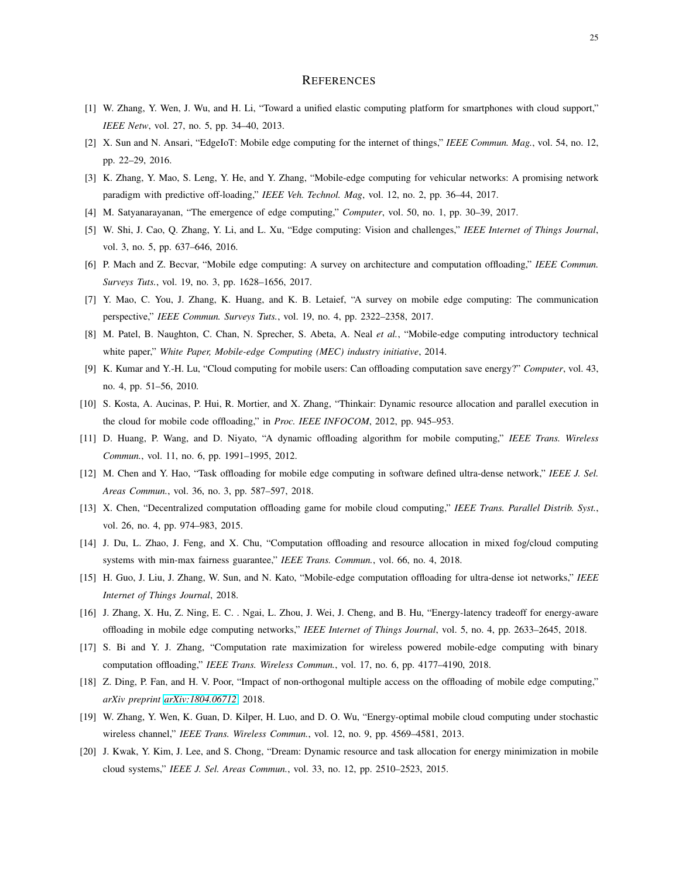#### **REFERENCES**

- <span id="page-24-1"></span><span id="page-24-0"></span>[1] W. Zhang, Y. Wen, J. Wu, and H. Li, "Toward a unified elastic computing platform for smartphones with cloud support," *IEEE Netw*, vol. 27, no. 5, pp. 34–40, 2013.
- <span id="page-24-2"></span>[2] X. Sun and N. Ansari, "EdgeIoT: Mobile edge computing for the internet of things," *IEEE Commun. Mag.*, vol. 54, no. 12, pp. 22–29, 2016.
- <span id="page-24-3"></span>[3] K. Zhang, Y. Mao, S. Leng, Y. He, and Y. Zhang, "Mobile-edge computing for vehicular networks: A promising network paradigm with predictive off-loading," *IEEE Veh. Technol. Mag*, vol. 12, no. 2, pp. 36–44, 2017.
- <span id="page-24-4"></span>[4] M. Satyanarayanan, "The emergence of edge computing," *Computer*, vol. 50, no. 1, pp. 30–39, 2017.
- <span id="page-24-18"></span>[5] W. Shi, J. Cao, Q. Zhang, Y. Li, and L. Xu, "Edge computing: Vision and challenges," *IEEE Internet of Things Journal*, vol. 3, no. 5, pp. 637–646, 2016.
- <span id="page-24-5"></span>[6] P. Mach and Z. Becvar, "Mobile edge computing: A survey on architecture and computation offloading," *IEEE Commun. Surveys Tuts.*, vol. 19, no. 3, pp. 1628–1656, 2017.
- <span id="page-24-6"></span>[7] Y. Mao, C. You, J. Zhang, K. Huang, and K. B. Letaief, "A survey on mobile edge computing: The communication perspective," *IEEE Commun. Surveys Tuts.*, vol. 19, no. 4, pp. 2322–2358, 2017.
- <span id="page-24-7"></span>[8] M. Patel, B. Naughton, C. Chan, N. Sprecher, S. Abeta, A. Neal *et al.*, "Mobile-edge computing introductory technical white paper," *White Paper, Mobile-edge Computing (MEC) industry initiative*, 2014.
- [9] K. Kumar and Y.-H. Lu, "Cloud computing for mobile users: Can offloading computation save energy?" *Computer*, vol. 43, no. 4, pp. 51–56, 2010.
- <span id="page-24-8"></span>[10] S. Kosta, A. Aucinas, P. Hui, R. Mortier, and X. Zhang, "Thinkair: Dynamic resource allocation and parallel execution in the cloud for mobile code offloading," in *Proc. IEEE INFOCOM*, 2012, pp. 945–953.
- <span id="page-24-9"></span>[11] D. Huang, P. Wang, and D. Niyato, "A dynamic offloading algorithm for mobile computing," *IEEE Trans. Wireless Commun.*, vol. 11, no. 6, pp. 1991–1995, 2012.
- <span id="page-24-11"></span>[12] M. Chen and Y. Hao, "Task offloading for mobile edge computing in software defined ultra-dense network," *IEEE J. Sel. Areas Commun.*, vol. 36, no. 3, pp. 587–597, 2018.
- <span id="page-24-12"></span>[13] X. Chen, "Decentralized computation offloading game for mobile cloud computing," *IEEE Trans. Parallel Distrib. Syst.*, vol. 26, no. 4, pp. 974–983, 2015.
- <span id="page-24-13"></span>[14] J. Du, L. Zhao, J. Feng, and X. Chu, "Computation offloading and resource allocation in mixed fog/cloud computing systems with min-max fairness guarantee," *IEEE Trans. Commun.*, vol. 66, no. 4, 2018.
- <span id="page-24-14"></span>[15] H. Guo, J. Liu, J. Zhang, W. Sun, and N. Kato, "Mobile-edge computation offloading for ultra-dense iot networks," *IEEE Internet of Things Journal*, 2018.
- <span id="page-24-15"></span>[16] J. Zhang, X. Hu, Z. Ning, E. C. . Ngai, L. Zhou, J. Wei, J. Cheng, and B. Hu, "Energy-latency tradeoff for energy-aware offloading in mobile edge computing networks," *IEEE Internet of Things Journal*, vol. 5, no. 4, pp. 2633–2645, 2018.
- <span id="page-24-10"></span>[17] S. Bi and Y. J. Zhang, "Computation rate maximization for wireless powered mobile-edge computing with binary computation offloading," *IEEE Trans. Wireless Commun.*, vol. 17, no. 6, pp. 4177–4190, 2018.
- <span id="page-24-16"></span>[18] Z. Ding, P. Fan, and H. V. Poor, "Impact of non-orthogonal multiple access on the offloading of mobile edge computing," *arXiv preprint [arXiv:1804.06712](http://arxiv.org/abs/1804.06712)*, 2018.
- <span id="page-24-17"></span>[19] W. Zhang, Y. Wen, K. Guan, D. Kilper, H. Luo, and D. O. Wu, "Energy-optimal mobile cloud computing under stochastic wireless channel," *IEEE Trans. Wireless Commun.*, vol. 12, no. 9, pp. 4569–4581, 2013.
- [20] J. Kwak, Y. Kim, J. Lee, and S. Chong, "Dream: Dynamic resource and task allocation for energy minimization in mobile cloud systems," *IEEE J. Sel. Areas Commun.*, vol. 33, no. 12, pp. 2510–2523, 2015.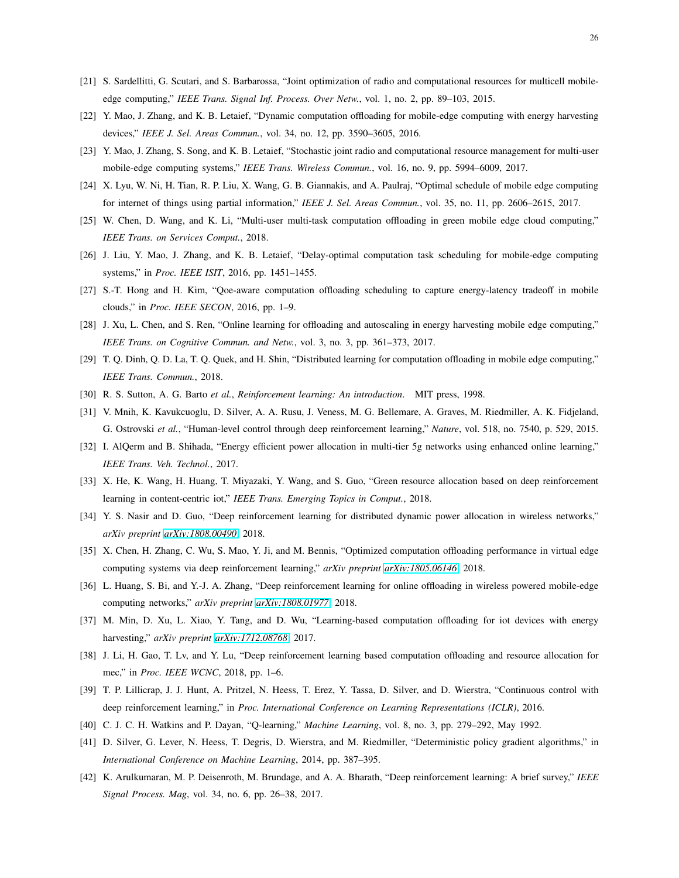- <span id="page-25-2"></span><span id="page-25-1"></span>[21] S. Sardellitti, G. Scutari, and S. Barbarossa, "Joint optimization of radio and computational resources for multicell mobileedge computing," *IEEE Trans. Signal Inf. Process. Over Netw.*, vol. 1, no. 2, pp. 89–103, 2015.
- <span id="page-25-3"></span>[22] Y. Mao, J. Zhang, and K. B. Letaief, "Dynamic computation offloading for mobile-edge computing with energy harvesting devices," *IEEE J. Sel. Areas Commun.*, vol. 34, no. 12, pp. 3590–3605, 2016.
- <span id="page-25-4"></span>[23] Y. Mao, J. Zhang, S. Song, and K. B. Letaief, "Stochastic joint radio and computational resource management for multi-user mobile-edge computing systems," *IEEE Trans. Wireless Commun.*, vol. 16, no. 9, pp. 5994–6009, 2017.
- <span id="page-25-5"></span>[24] X. Lyu, W. Ni, H. Tian, R. P. Liu, X. Wang, G. B. Giannakis, and A. Paulraj, "Optimal schedule of mobile edge computing for internet of things using partial information," *IEEE J. Sel. Areas Commun.*, vol. 35, no. 11, pp. 2606–2615, 2017.
- <span id="page-25-6"></span>[25] W. Chen, D. Wang, and K. Li, "Multi-user multi-task computation offloading in green mobile edge cloud computing," *IEEE Trans. on Services Comput.*, 2018.
- <span id="page-25-7"></span>[26] J. Liu, Y. Mao, J. Zhang, and K. B. Letaief, "Delay-optimal computation task scheduling for mobile-edge computing systems," in *Proc. IEEE ISIT*, 2016, pp. 1451–1455.
- <span id="page-25-0"></span>[27] S.-T. Hong and H. Kim, "Qoe-aware computation offloading scheduling to capture energy-latency tradeoff in mobile clouds," in *Proc. IEEE SECON*, 2016, pp. 1–9.
- <span id="page-25-8"></span>[28] J. Xu, L. Chen, and S. Ren, "Online learning for offloading and autoscaling in energy harvesting mobile edge computing," *IEEE Trans. on Cognitive Commun. and Netw.*, vol. 3, no. 3, pp. 361–373, 2017.
- <span id="page-25-9"></span>[29] T. Q. Dinh, Q. D. La, T. Q. Quek, and H. Shin, "Distributed learning for computation offloading in mobile edge computing," *IEEE Trans. Commun.*, 2018.
- <span id="page-25-10"></span>[30] R. S. Sutton, A. G. Barto *et al.*, *Reinforcement learning: An introduction*. MIT press, 1998.
- <span id="page-25-11"></span>[31] V. Mnih, K. Kavukcuoglu, D. Silver, A. A. Rusu, J. Veness, M. G. Bellemare, A. Graves, M. Riedmiller, A. K. Fidjeland, G. Ostrovski *et al.*, "Human-level control through deep reinforcement learning," *Nature*, vol. 518, no. 7540, p. 529, 2015.
- [32] I. AlQerm and B. Shihada, "Energy efficient power allocation in multi-tier 5g networks using enhanced online learning," *IEEE Trans. Veh. Technol.*, 2017.
- <span id="page-25-12"></span>[33] X. He, K. Wang, H. Huang, T. Miyazaki, Y. Wang, and S. Guo, "Green resource allocation based on deep reinforcement learning in content-centric iot," *IEEE Trans. Emerging Topics in Comput.*, 2018.
- <span id="page-25-13"></span>[34] Y. S. Nasir and D. Guo, "Deep reinforcement learning for distributed dynamic power allocation in wireless networks," *arXiv preprint [arXiv:1808.00490](http://arxiv.org/abs/1808.00490)*, 2018.
- <span id="page-25-15"></span>[35] X. Chen, H. Zhang, C. Wu, S. Mao, Y. Ji, and M. Bennis, "Optimized computation offloading performance in virtual edge computing systems via deep reinforcement learning," *arXiv preprint [arXiv:1805.06146](http://arxiv.org/abs/1805.06146)*, 2018.
- <span id="page-25-16"></span>[36] L. Huang, S. Bi, and Y.-J. A. Zhang, "Deep reinforcement learning for online offloading in wireless powered mobile-edge computing networks," *arXiv preprint [arXiv:1808.01977](http://arxiv.org/abs/1808.01977)*, 2018.
- <span id="page-25-14"></span>[37] M. Min, D. Xu, L. Xiao, Y. Tang, and D. Wu, "Learning-based computation offloading for iot devices with energy harvesting," *arXiv preprint [arXiv:1712.08768](http://arxiv.org/abs/1712.08768)*, 2017.
- <span id="page-25-17"></span>[38] J. Li, H. Gao, T. Lv, and Y. Lu, "Deep reinforcement learning based computation offloading and resource allocation for mec," in *Proc. IEEE WCNC*, 2018, pp. 1–6.
- <span id="page-25-18"></span>[39] T. P. Lillicrap, J. J. Hunt, A. Pritzel, N. Heess, T. Erez, Y. Tassa, D. Silver, and D. Wierstra, "Continuous control with deep reinforcement learning," in *Proc. International Conference on Learning Representations (ICLR)*, 2016.
- <span id="page-25-19"></span>[40] C. J. C. H. Watkins and P. Dayan, "Q-learning," *Machine Learning*, vol. 8, no. 3, pp. 279–292, May 1992.
- <span id="page-25-20"></span>[41] D. Silver, G. Lever, N. Heess, T. Degris, D. Wierstra, and M. Riedmiller, "Deterministic policy gradient algorithms," in *International Conference on Machine Learning*, 2014, pp. 387–395.
- [42] K. Arulkumaran, M. P. Deisenroth, M. Brundage, and A. A. Bharath, "Deep reinforcement learning: A brief survey," *IEEE Signal Process. Mag*, vol. 34, no. 6, pp. 26–38, 2017.